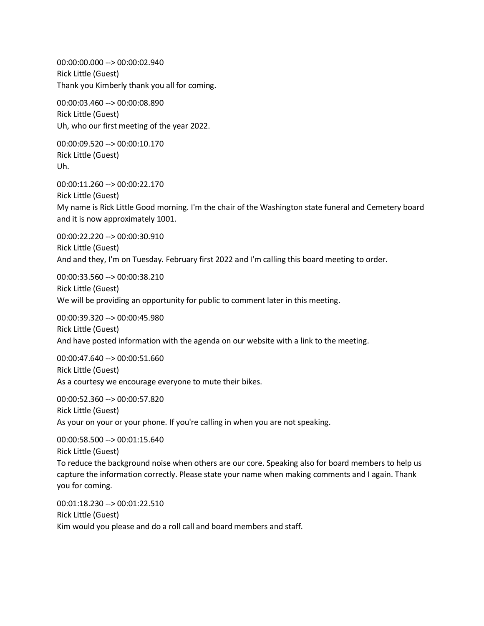00:00:00.000 --> 00:00:02.940 Rick Little (Guest) Thank you Kimberly thank you all for coming.

00:00:03.460 --> 00:00:08.890 Rick Little (Guest) Uh, who our first meeting of the year 2022.

00:00:09.520 --> 00:00:10.170 Rick Little (Guest) Uh.

00:00:11.260 --> 00:00:22.170 Rick Little (Guest) My name is Rick Little Good morning. I'm the chair of the Washington state funeral and Cemetery board and it is now approximately 1001.

00:00:22.220 --> 00:00:30.910 Rick Little (Guest) And and they, I'm on Tuesday. February first 2022 and I'm calling this board meeting to order.

00:00:33.560 --> 00:00:38.210 Rick Little (Guest) We will be providing an opportunity for public to comment later in this meeting.

00:00:39.320 --> 00:00:45.980 Rick Little (Guest) And have posted information with the agenda on our website with a link to the meeting.

00:00:47.640 --> 00:00:51.660 Rick Little (Guest) As a courtesy we encourage everyone to mute their bikes.

00:00:52.360 --> 00:00:57.820 Rick Little (Guest) As your on your or your phone. If you're calling in when you are not speaking.

00:00:58.500 --> 00:01:15.640 Rick Little (Guest) To reduce the background noise when others are our core. Speaking also for board members to help us capture the information correctly. Please state your name when making comments and I again. Thank you for coming.

00:01:18.230 --> 00:01:22.510 Rick Little (Guest) Kim would you please and do a roll call and board members and staff.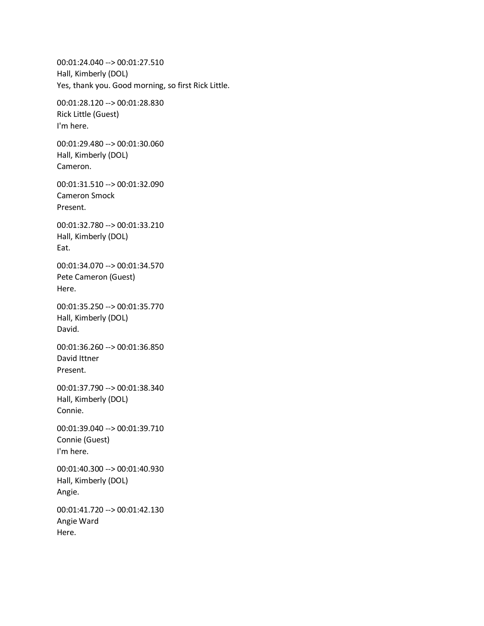00:01:24.040 --> 00:01:27.510 Hall, Kimberly (DOL) Yes, thank you. Good morning, so first Rick Little. 00:01:28.120 --> 00:01:28.830 Rick Little (Guest) I'm here. 00:01:29.480 --> 00:01:30.060 Hall, Kimberly (DOL) Cameron. 00:01:31.510 --> 00:01:32.090 Cameron Smock Present. 00:01:32.780 --> 00:01:33.210 Hall, Kimberly (DOL) Eat. 00:01:34.070 --> 00:01:34.570 Pete Cameron (Guest) Here. 00:01:35.250 --> 00:01:35.770 Hall, Kimberly (DOL) David. 00:01:36.260 --> 00:01:36.850 David Ittner Present. 00:01:37.790 --> 00:01:38.340 Hall, Kimberly (DOL) Connie. 00:01:39.040 --> 00:01:39.710 Connie (Guest) I'm here. 00:01:40.300 --> 00:01:40.930 Hall, Kimberly (DOL) Angie. 00:01:41.720 --> 00:01:42.130 Angie Ward Here.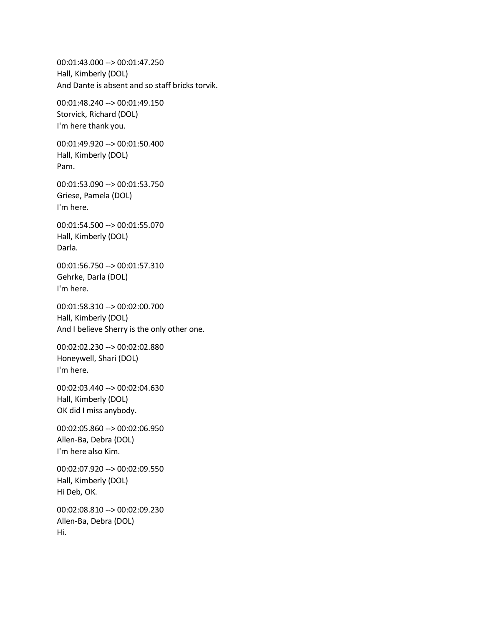00:01:43.000 --> 00:01:47.250 Hall, Kimberly (DOL) And Dante is absent and so staff bricks torvik. 00:01:48.240 --> 00:01:49.150 Storvick, Richard (DOL) I'm here thank you. 00:01:49.920 --> 00:01:50.400 Hall, Kimberly (DOL) Pam. 00:01:53.090 --> 00:01:53.750 Griese, Pamela (DOL) I'm here. 00:01:54.500 --> 00:01:55.070 Hall, Kimberly (DOL) Darla. 00:01:56.750 --> 00:01:57.310 Gehrke, Darla (DOL) I'm here. 00:01:58.310 --> 00:02:00.700 Hall, Kimberly (DOL) And I believe Sherry is the only other one. 00:02:02.230 --> 00:02:02.880 Honeywell, Shari (DOL) I'm here. 00:02:03.440 --> 00:02:04.630 Hall, Kimberly (DOL) OK did I miss anybody. 00:02:05.860 --> 00:02:06.950 Allen-Ba, Debra (DOL) I'm here also Kim. 00:02:07.920 --> 00:02:09.550 Hall, Kimberly (DOL) Hi Deb, OK. 00:02:08.810 --> 00:02:09.230 Allen-Ba, Debra (DOL) Hi.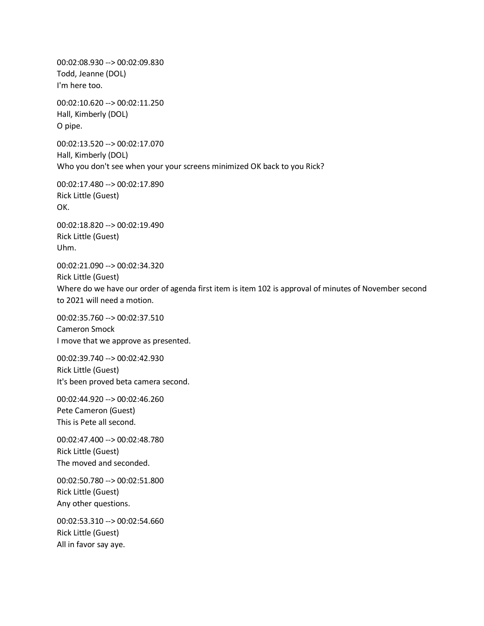00:02:08.930 --> 00:02:09.830 Todd, Jeanne (DOL) I'm here too.

00:02:10.620 --> 00:02:11.250 Hall, Kimberly (DOL) O pipe.

00:02:13.520 --> 00:02:17.070 Hall, Kimberly (DOL) Who you don't see when your your screens minimized OK back to you Rick?

00:02:17.480 --> 00:02:17.890 Rick Little (Guest) OK.

00:02:18.820 --> 00:02:19.490 Rick Little (Guest) Uhm.

00:02:21.090 --> 00:02:34.320 Rick Little (Guest) Where do we have our order of agenda first item is item 102 is approval of minutes of November second to 2021 will need a motion.

00:02:35.760 --> 00:02:37.510 Cameron Smock I move that we approve as presented.

00:02:39.740 --> 00:02:42.930 Rick Little (Guest) It's been proved beta camera second.

00:02:44.920 --> 00:02:46.260 Pete Cameron (Guest) This is Pete all second.

00:02:47.400 --> 00:02:48.780 Rick Little (Guest) The moved and seconded.

00:02:50.780 --> 00:02:51.800 Rick Little (Guest) Any other questions.

00:02:53.310 --> 00:02:54.660 Rick Little (Guest) All in favor say aye.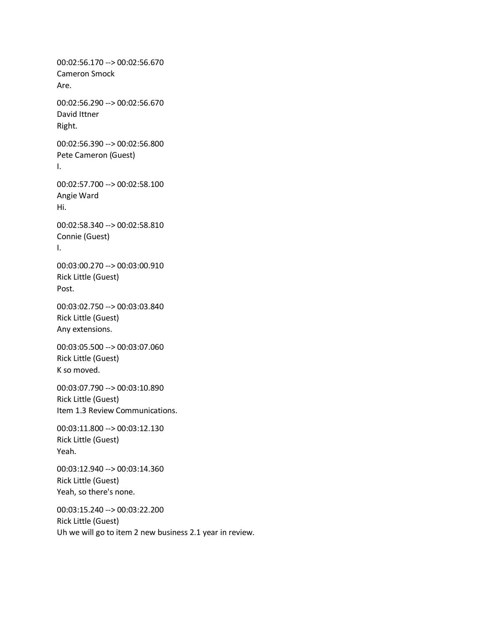00:02:56.170 --> 00:02:56.670 Cameron Smock Are. 00:02:56.290 --> 00:02:56.670 David Ittner Right. 00:02:56.390 --> 00:02:56.800 Pete Cameron (Guest) I. 00:02:57.700 --> 00:02:58.100 Angie Ward Hi. 00:02:58.340 --> 00:02:58.810 Connie (Guest) I. 00:03:00.270 --> 00:03:00.910 Rick Little (Guest) Post. 00:03:02.750 --> 00:03:03.840 Rick Little (Guest) Any extensions. 00:03:05.500 --> 00:03:07.060 Rick Little (Guest) K so moved. 00:03:07.790 --> 00:03:10.890 Rick Little (Guest) Item 1.3 Review Communications. 00:03:11.800 --> 00:03:12.130 Rick Little (Guest) Yeah. 00:03:12.940 --> 00:03:14.360 Rick Little (Guest) Yeah, so there's none. 00:03:15.240 --> 00:03:22.200

Rick Little (Guest) Uh we will go to item 2 new business 2.1 year in review.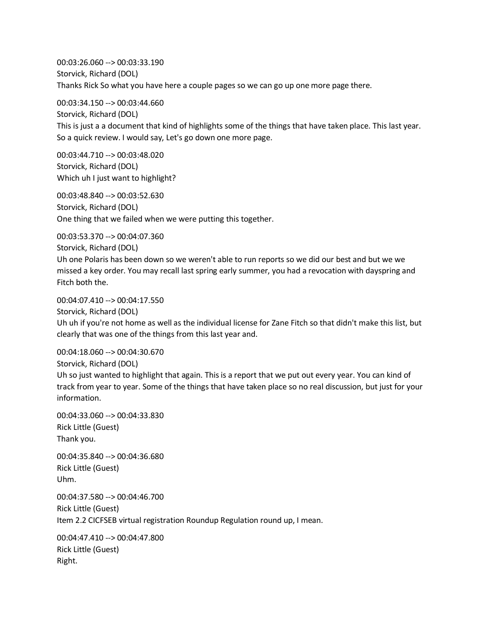00:03:26.060 --> 00:03:33.190 Storvick, Richard (DOL) Thanks Rick So what you have here a couple pages so we can go up one more page there.

00:03:34.150 --> 00:03:44.660 Storvick, Richard (DOL) This is just a a document that kind of highlights some of the things that have taken place. This last year. So a quick review. I would say, Let's go down one more page.

00:03:44.710 --> 00:03:48.020 Storvick, Richard (DOL) Which uh I just want to highlight?

00:03:48.840 --> 00:03:52.630 Storvick, Richard (DOL) One thing that we failed when we were putting this together.

00:03:53.370 --> 00:04:07.360

Storvick, Richard (DOL)

Uh one Polaris has been down so we weren't able to run reports so we did our best and but we we missed a key order. You may recall last spring early summer, you had a revocation with dayspring and Fitch both the.

00:04:07.410 --> 00:04:17.550

Storvick, Richard (DOL)

Uh uh if you're not home as well as the individual license for Zane Fitch so that didn't make this list, but clearly that was one of the things from this last year and.

00:04:18.060 --> 00:04:30.670 Storvick, Richard (DOL)

Uh so just wanted to highlight that again. This is a report that we put out every year. You can kind of track from year to year. Some of the things that have taken place so no real discussion, but just for your information.

00:04:33.060 --> 00:04:33.830 Rick Little (Guest) Thank you.

00:04:35.840 --> 00:04:36.680 Rick Little (Guest) Uhm.

00:04:37.580 --> 00:04:46.700 Rick Little (Guest) Item 2.2 CICFSEB virtual registration Roundup Regulation round up, I mean.

00:04:47.410 --> 00:04:47.800 Rick Little (Guest) Right.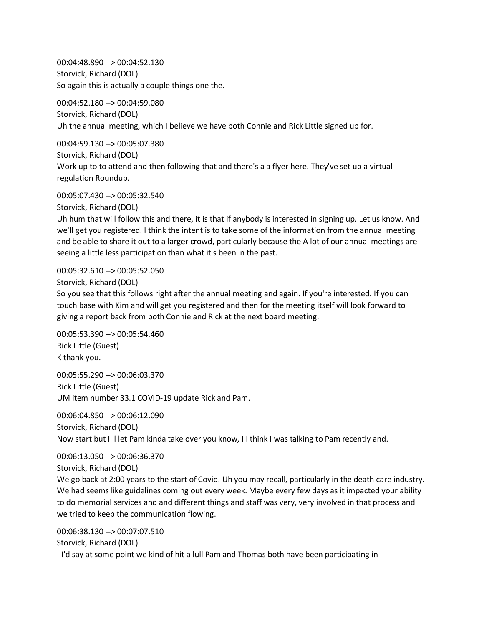00:04:48.890 --> 00:04:52.130 Storvick, Richard (DOL) So again this is actually a couple things one the.

00:04:52.180 --> 00:04:59.080 Storvick, Richard (DOL) Uh the annual meeting, which I believe we have both Connie and Rick Little signed up for.

00:04:59.130 --> 00:05:07.380 Storvick, Richard (DOL) Work up to to attend and then following that and there's a a flyer here. They've set up a virtual regulation Roundup.

00:05:07.430 --> 00:05:32.540

Storvick, Richard (DOL)

Uh hum that will follow this and there, it is that if anybody is interested in signing up. Let us know. And we'll get you registered. I think the intent is to take some of the information from the annual meeting and be able to share it out to a larger crowd, particularly because the A lot of our annual meetings are seeing a little less participation than what it's been in the past.

00:05:32.610 --> 00:05:52.050

Storvick, Richard (DOL)

So you see that this follows right after the annual meeting and again. If you're interested. If you can touch base with Kim and will get you registered and then for the meeting itself will look forward to giving a report back from both Connie and Rick at the next board meeting.

00:05:53.390 --> 00:05:54.460 Rick Little (Guest) K thank you.

00:05:55.290 --> 00:06:03.370 Rick Little (Guest) UM item number 33.1 COVID-19 update Rick and Pam.

00:06:04.850 --> 00:06:12.090 Storvick, Richard (DOL) Now start but I'll let Pam kinda take over you know, I I think I was talking to Pam recently and.

00:06:13.050 --> 00:06:36.370 Storvick, Richard (DOL)

We go back at 2:00 years to the start of Covid. Uh you may recall, particularly in the death care industry. We had seems like guidelines coming out every week. Maybe every few days as it impacted your ability to do memorial services and and different things and staff was very, very involved in that process and we tried to keep the communication flowing.

00:06:38.130 --> 00:07:07.510 Storvick, Richard (DOL) I I'd say at some point we kind of hit a lull Pam and Thomas both have been participating in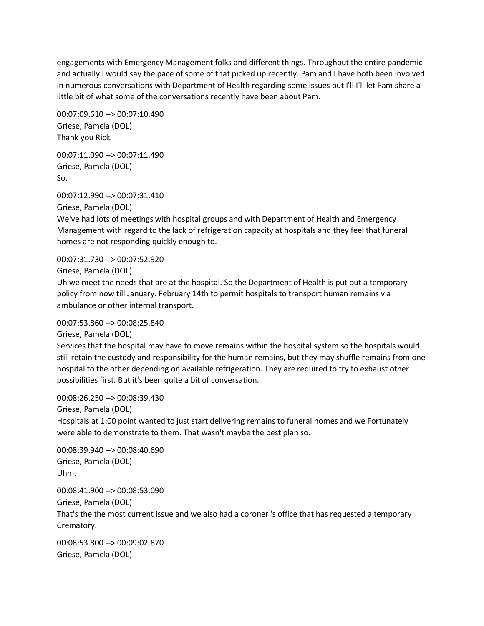engagements with Emergency Management folks and different things. Throughout the entire pandemic and actually I would say the pace of some of that picked up recently. Pam and I have both been involved in numerous conversations with Department of Health regarding some issues but I'll I'll let Pam share a little bit of what some of the conversations recently have been about Pam.

00:07:09.610 --> 00:07:10.490 Griese, Pamela (DOL) Thank you Rick.

00:07:11.090 --> 00:07:11.490 Griese, Pamela (DOL) So.

00:07:12.990 --> 00:07:31.410

Griese, Pamela (DOL)

We've had lots of meetings with hospital groups and with Department of Health and Emergency Management with regard to the lack of refrigeration capacity at hospitals and they feel that funeral homes are not responding quickly enough to.

00:07:31.730 --> 00:07:52.920

Griese, Pamela (DOL)

Uh we meet the needs that are at the hospital. So the Department of Health is put out a temporary policy from now till January. February 14th to permit hospitals to transport human remains via ambulance or other internal transport.

00:07:53.860 --> 00:08:25.840

Griese, Pamela (DOL)

Services that the hospital may have to move remains within the hospital system so the hospitals would still retain the custody and responsibility for the human remains, but they may shuffle remains from one hospital to the other depending on available refrigeration. They are required to try to exhaust other possibilities first. But it's been quite a bit of conversation.

00:08:26.250 --> 00:08:39.430

Griese, Pamela (DOL)

Hospitals at 1:00 point wanted to just start delivering remains to funeral homes and we Fortunately were able to demonstrate to them. That wasn't maybe the best plan so.

00:08:39.940 --> 00:08:40.690 Griese, Pamela (DOL) Uhm.

00:08:41.900 --> 00:08:53.090 Griese, Pamela (DOL) That's the the most current issue and we also had a coroner 's office that has requested a temporary

Crematory.

00:08:53.800 --> 00:09:02.870 Griese, Pamela (DOL)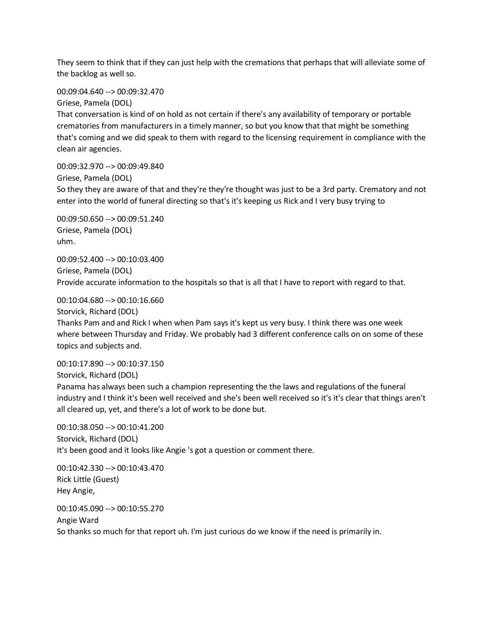They seem to think that if they can just help with the cremations that perhaps that will alleviate some of the backlog as well so.

00:09:04.640 --> 00:09:32.470

Griese, Pamela (DOL)

That conversation is kind of on hold as not certain if there's any availability of temporary or portable crematories from manufacturers in a timely manner, so but you know that that might be something that's coming and we did speak to them with regard to the licensing requirement in compliance with the clean air agencies.

00:09:32.970 --> 00:09:49.840 Griese, Pamela (DOL) So they they are aware of that and they're they're thought was just to be a 3rd party. Crematory and not enter into the world of funeral directing so that's it's keeping us Rick and I very busy trying to

00:09:50.650 --> 00:09:51.240 Griese, Pamela (DOL) uhm.

00:09:52.400 --> 00:10:03.400 Griese, Pamela (DOL) Provide accurate information to the hospitals so that is all that I have to report with regard to that.

00:10:04.680 --> 00:10:16.660

Storvick, Richard (DOL)

Thanks Pam and and Rick I when when Pam says it's kept us very busy. I think there was one week where between Thursday and Friday. We probably had 3 different conference calls on on some of these topics and subjects and.

00:10:17.890 --> 00:10:37.150 Storvick, Richard (DOL) Panama has always been such a champion representing the the laws and regulations of the funeral industry and I think it's been well received and she's been well received so it's it's clear that things aren't all cleared up, yet, and there's a lot of work to be done but.

00:10:38.050 --> 00:10:41.200 Storvick, Richard (DOL) It's been good and it looks like Angie 's got a question or comment there.

00:10:42.330 --> 00:10:43.470 Rick Little (Guest) Hey Angie,

00:10:45.090 --> 00:10:55.270 Angie Ward So thanks so much for that report uh. I'm just curious do we know if the need is primarily in.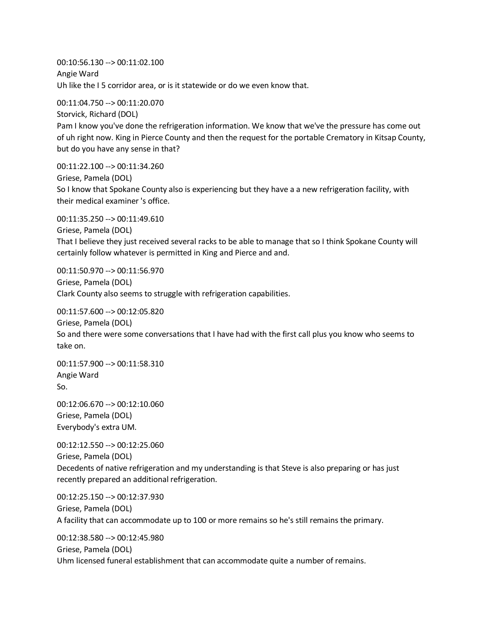00:10:56.130 --> 00:11:02.100 Angie Ward Uh like the I 5 corridor area, or is it statewide or do we even know that.

00:11:04.750 --> 00:11:20.070 Storvick, Richard (DOL) Pam I know you've done the refrigeration information. We know that we've the pressure has come out of uh right now. King in Pierce County and then the request for the portable Crematory in Kitsap County, but do you have any sense in that?

00:11:22.100 --> 00:11:34.260 Griese, Pamela (DOL) So I know that Spokane County also is experiencing but they have a a new refrigeration facility, with their medical examiner 's office.

00:11:35.250 --> 00:11:49.610 Griese, Pamela (DOL) That I believe they just received several racks to be able to manage that so I think Spokane County will certainly follow whatever is permitted in King and Pierce and and.

00:11:50.970 --> 00:11:56.970 Griese, Pamela (DOL) Clark County also seems to struggle with refrigeration capabilities.

00:11:57.600 --> 00:12:05.820

Griese, Pamela (DOL) So and there were some conversations that I have had with the first call plus you know who seems to take on.

00:11:57.900 --> 00:11:58.310 Angie Ward So.

00:12:06.670 --> 00:12:10.060 Griese, Pamela (DOL) Everybody's extra UM.

00:12:12.550 --> 00:12:25.060 Griese, Pamela (DOL) Decedents of native refrigeration and my understanding is that Steve is also preparing or has just recently prepared an additional refrigeration.

00:12:25.150 --> 00:12:37.930 Griese, Pamela (DOL) A facility that can accommodate up to 100 or more remains so he's still remains the primary.

00:12:38.580 --> 00:12:45.980 Griese, Pamela (DOL) Uhm licensed funeral establishment that can accommodate quite a number of remains.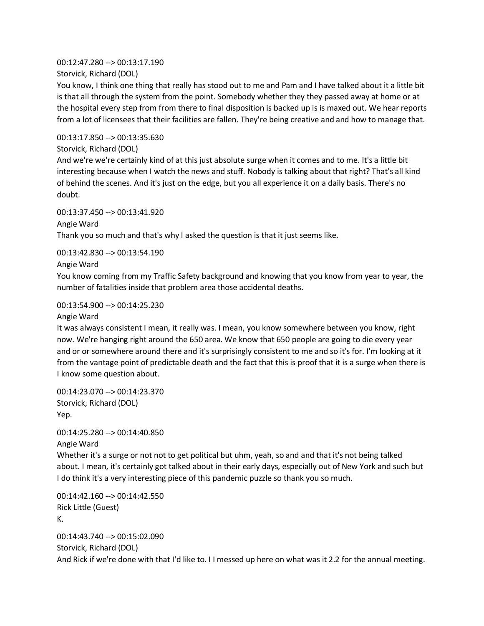00:12:47.280 --> 00:13:17.190 Storvick, Richard (DOL)

You know, I think one thing that really has stood out to me and Pam and I have talked about it a little bit is that all through the system from the point. Somebody whether they they passed away at home or at the hospital every step from from there to final disposition is backed up is is maxed out. We hear reports from a lot of licensees that their facilities are fallen. They're being creative and and how to manage that.

00:13:17.850 --> 00:13:35.630

Storvick, Richard (DOL)

And we're we're certainly kind of at this just absolute surge when it comes and to me. It's a little bit interesting because when I watch the news and stuff. Nobody is talking about that right? That's all kind of behind the scenes. And it's just on the edge, but you all experience it on a daily basis. There's no doubt.

00:13:37.450 --> 00:13:41.920 Angie Ward Thank you so much and that's why I asked the question is that it just seems like.

00:13:42.830 --> 00:13:54.190

Angie Ward

You know coming from my Traffic Safety background and knowing that you know from year to year, the number of fatalities inside that problem area those accidental deaths.

00:13:54.900 --> 00:14:25.230

Angie Ward

It was always consistent I mean, it really was. I mean, you know somewhere between you know, right now. We're hanging right around the 650 area. We know that 650 people are going to die every year and or or somewhere around there and it's surprisingly consistent to me and so it's for. I'm looking at it from the vantage point of predictable death and the fact that this is proof that it is a surge when there is I know some question about.

00:14:23.070 --> 00:14:23.370 Storvick, Richard (DOL) Yep.

00:14:25.280 --> 00:14:40.850

Angie Ward Whether it's a surge or not not to get political but uhm, yeah, so and and that it's not being talked about. I mean, it's certainly got talked about in their early days, especially out of New York and such but I do think it's a very interesting piece of this pandemic puzzle so thank you so much.

00:14:42.160 --> 00:14:42.550 Rick Little (Guest) K.

00:14:43.740 --> 00:15:02.090 Storvick, Richard (DOL) And Rick if we're done with that I'd like to. I I messed up here on what was it 2.2 for the annual meeting.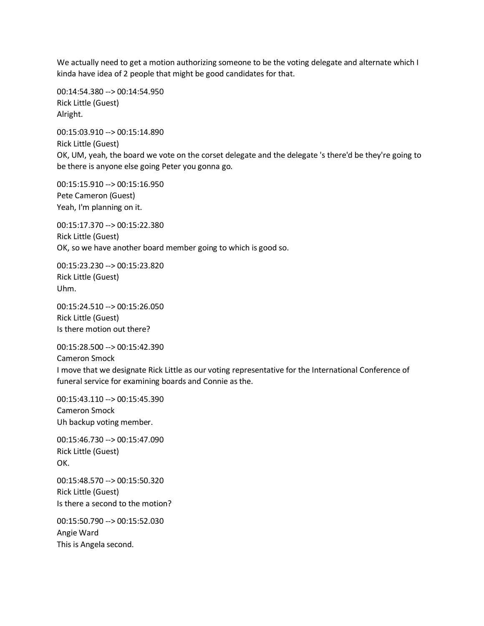We actually need to get a motion authorizing someone to be the voting delegate and alternate which I kinda have idea of 2 people that might be good candidates for that.

00:14:54.380 --> 00:14:54.950 Rick Little (Guest) Alright.

00:15:03.910 --> 00:15:14.890 Rick Little (Guest) OK, UM, yeah, the board we vote on the corset delegate and the delegate 's there'd be they're going to be there is anyone else going Peter you gonna go.

00:15:15.910 --> 00:15:16.950 Pete Cameron (Guest) Yeah, I'm planning on it.

00:15:17.370 --> 00:15:22.380 Rick Little (Guest) OK, so we have another board member going to which is good so.

00:15:23.230 --> 00:15:23.820 Rick Little (Guest) Uhm.

00:15:24.510 --> 00:15:26.050 Rick Little (Guest) Is there motion out there?

00:15:28.500 --> 00:15:42.390 Cameron Smock I move that we designate Rick Little as our voting representative for the International Conference of funeral service for examining boards and Connie as the.

00:15:43.110 --> 00:15:45.390 Cameron Smock Uh backup voting member.

00:15:46.730 --> 00:15:47.090 Rick Little (Guest) OK.

00:15:48.570 --> 00:15:50.320 Rick Little (Guest) Is there a second to the motion?

00:15:50.790 --> 00:15:52.030 Angie Ward This is Angela second.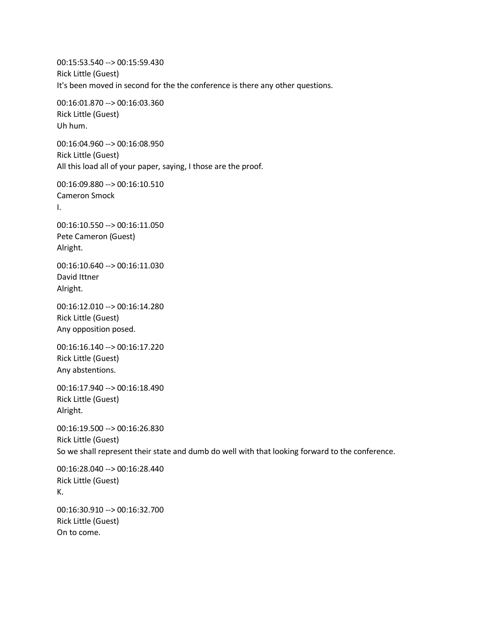00:15:53.540 --> 00:15:59.430 Rick Little (Guest) It's been moved in second for the the conference is there any other questions.

00:16:01.870 --> 00:16:03.360 Rick Little (Guest) Uh hum.

00:16:04.960 --> 00:16:08.950 Rick Little (Guest) All this load all of your paper, saying, I those are the proof.

00:16:09.880 --> 00:16:10.510 Cameron Smock I.

00:16:10.550 --> 00:16:11.050 Pete Cameron (Guest) Alright.

00:16:10.640 --> 00:16:11.030 David Ittner Alright.

00:16:12.010 --> 00:16:14.280 Rick Little (Guest) Any opposition posed.

00:16:16.140 --> 00:16:17.220 Rick Little (Guest) Any abstentions.

00:16:17.940 --> 00:16:18.490 Rick Little (Guest) Alright.

00:16:19.500 --> 00:16:26.830 Rick Little (Guest) So we shall represent their state and dumb do well with that looking forward to the conference.

00:16:28.040 --> 00:16:28.440 Rick Little (Guest) K.

00:16:30.910 --> 00:16:32.700 Rick Little (Guest) On to come.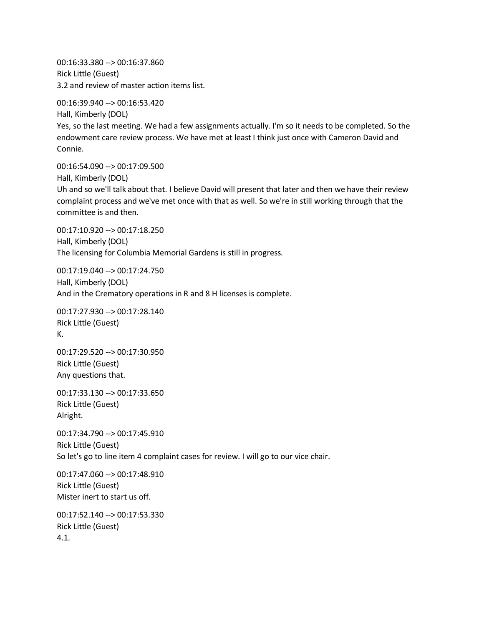00:16:33.380 --> 00:16:37.860 Rick Little (Guest) 3.2 and review of master action items list.

00:16:39.940 --> 00:16:53.420 Hall, Kimberly (DOL) Yes, so the last meeting. We had a few assignments actually. I'm so it needs to be completed. So the endowment care review process. We have met at least I think just once with Cameron David and Connie.

00:16:54.090 --> 00:17:09.500 Hall, Kimberly (DOL) Uh and so we'll talk about that. I believe David will present that later and then we have their review complaint process and we've met once with that as well. So we're in still working through that the committee is and then.

00:17:10.920 --> 00:17:18.250 Hall, Kimberly (DOL) The licensing for Columbia Memorial Gardens is still in progress.

00:17:19.040 --> 00:17:24.750 Hall, Kimberly (DOL) And in the Crematory operations in R and 8 H licenses is complete.

00:17:27.930 --> 00:17:28.140 Rick Little (Guest) K.

00:17:29.520 --> 00:17:30.950 Rick Little (Guest) Any questions that.

00:17:33.130 --> 00:17:33.650 Rick Little (Guest) Alright.

00:17:34.790 --> 00:17:45.910 Rick Little (Guest) So let's go to line item 4 complaint cases for review. I will go to our vice chair.

00:17:47.060 --> 00:17:48.910 Rick Little (Guest) Mister inert to start us off.

00:17:52.140 --> 00:17:53.330 Rick Little (Guest) 4.1.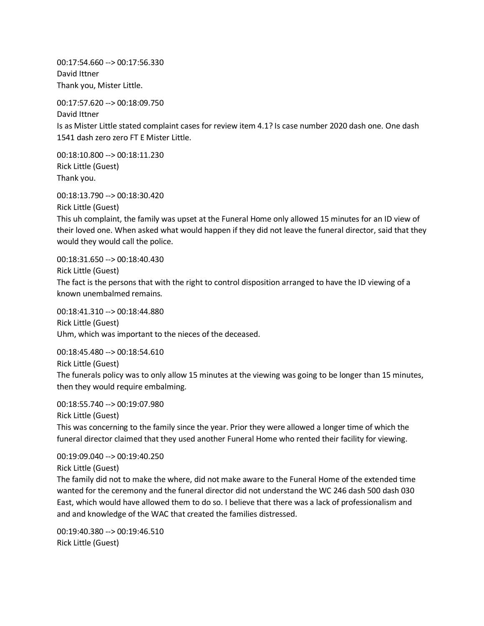00:17:54.660 --> 00:17:56.330 David Ittner Thank you, Mister Little.

00:17:57.620 --> 00:18:09.750 David Ittner Is as Mister Little stated complaint cases for review item 4.1? Is case number 2020 dash one. One dash 1541 dash zero zero FT E Mister Little.

00:18:10.800 --> 00:18:11.230 Rick Little (Guest) Thank you.

00:18:13.790 --> 00:18:30.420 Rick Little (Guest)

This uh complaint, the family was upset at the Funeral Home only allowed 15 minutes for an ID view of their loved one. When asked what would happen if they did not leave the funeral director, said that they would they would call the police.

00:18:31.650 --> 00:18:40.430 Rick Little (Guest) The fact is the persons that with the right to control disposition arranged to have the ID viewing of a known unembalmed remains.

00:18:41.310 --> 00:18:44.880 Rick Little (Guest) Uhm, which was important to the nieces of the deceased.

00:18:45.480 --> 00:18:54.610 Rick Little (Guest) The funerals policy was to only allow 15 minutes at the viewing was going to be longer than 15 minutes, then they would require embalming.

00:18:55.740 --> 00:19:07.980 Rick Little (Guest)

This was concerning to the family since the year. Prior they were allowed a longer time of which the funeral director claimed that they used another Funeral Home who rented their facility for viewing.

00:19:09.040 --> 00:19:40.250 Rick Little (Guest)

The family did not to make the where, did not make aware to the Funeral Home of the extended time wanted for the ceremony and the funeral director did not understand the WC 246 dash 500 dash 030 East, which would have allowed them to do so. I believe that there was a lack of professionalism and and and knowledge of the WAC that created the families distressed.

00:19:40.380 --> 00:19:46.510 Rick Little (Guest)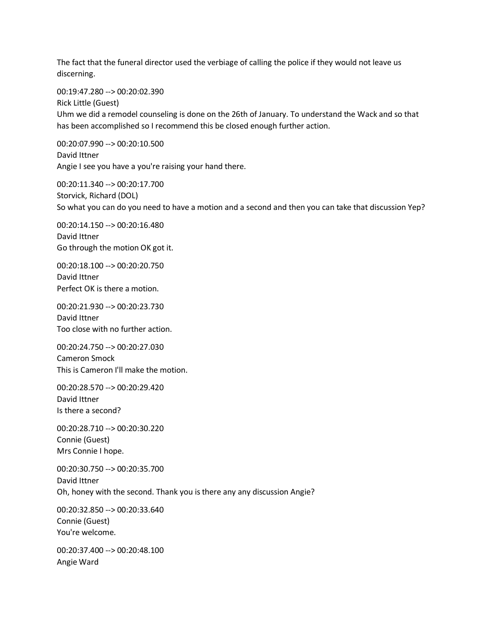The fact that the funeral director used the verbiage of calling the police if they would not leave us discerning.

00:19:47.280 --> 00:20:02.390

Rick Little (Guest)

Uhm we did a remodel counseling is done on the 26th of January. To understand the Wack and so that has been accomplished so I recommend this be closed enough further action.

00:20:07.990 --> 00:20:10.500 David Ittner Angie I see you have a you're raising your hand there.

00:20:11.340 --> 00:20:17.700 Storvick, Richard (DOL) So what you can do you need to have a motion and a second and then you can take that discussion Yep?

00:20:14.150 --> 00:20:16.480 David Ittner Go through the motion OK got it.

00:20:18.100 --> 00:20:20.750 David Ittner Perfect OK is there a motion.

00:20:21.930 --> 00:20:23.730 David Ittner Too close with no further action.

00:20:24.750 --> 00:20:27.030 Cameron Smock This is Cameron I'll make the motion.

00:20:28.570 --> 00:20:29.420 David Ittner Is there a second?

00:20:28.710 --> 00:20:30.220 Connie (Guest) Mrs Connie I hope.

00:20:30.750 --> 00:20:35.700 David Ittner Oh, honey with the second. Thank you is there any any discussion Angie?

00:20:32.850 --> 00:20:33.640 Connie (Guest) You're welcome.

00:20:37.400 --> 00:20:48.100 Angie Ward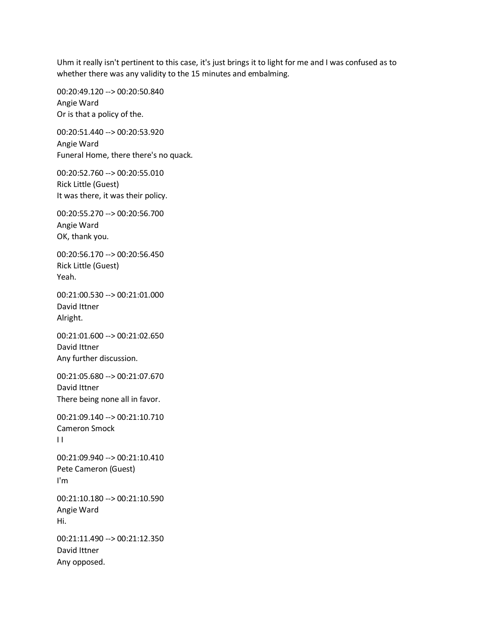Uhm it really isn't pertinent to this case, it's just brings it to light for me and I was confused as to whether there was any validity to the 15 minutes and embalming.

00:20:49.120 --> 00:20:50.840 Angie Ward Or is that a policy of the.

00:20:51.440 --> 00:20:53.920 Angie Ward Funeral Home, there there's no quack.

00:20:52.760 --> 00:20:55.010 Rick Little (Guest) It was there, it was their policy.

00:20:55.270 --> 00:20:56.700 Angie Ward OK, thank you.

00:20:56.170 --> 00:20:56.450 Rick Little (Guest) Yeah.

00:21:00.530 --> 00:21:01.000 David Ittner Alright.

00:21:01.600 --> 00:21:02.650 David Ittner Any further discussion.

00:21:05.680 --> 00:21:07.670 David Ittner There being none all in favor.

00:21:09.140 --> 00:21:10.710 Cameron Smock  $\mathbf{H}$ 

00:21:09.940 --> 00:21:10.410 Pete Cameron (Guest) I'm

00:21:10.180 --> 00:21:10.590 Angie Ward Hi.

00:21:11.490 --> 00:21:12.350 David Ittner Any opposed.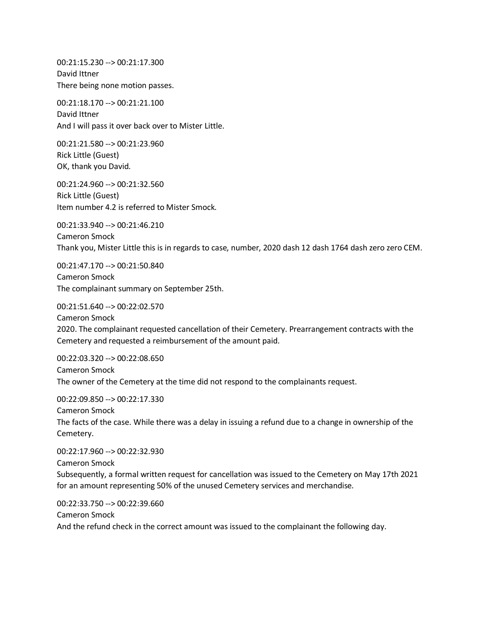00:21:15.230 --> 00:21:17.300 David Ittner There being none motion passes.

00:21:18.170 --> 00:21:21.100 David Ittner And I will pass it over back over to Mister Little.

00:21:21.580 --> 00:21:23.960 Rick Little (Guest) OK, thank you David.

00:21:24.960 --> 00:21:32.560 Rick Little (Guest) Item number 4.2 is referred to Mister Smock.

00:21:33.940 --> 00:21:46.210 Cameron Smock Thank you, Mister Little this is in regards to case, number, 2020 dash 12 dash 1764 dash zero zero CEM.

00:21:47.170 --> 00:21:50.840 Cameron Smock The complainant summary on September 25th.

00:21:51.640 --> 00:22:02.570 Cameron Smock 2020. The complainant requested cancellation of their Cemetery. Prearrangement contracts with the Cemetery and requested a reimbursement of the amount paid.

00:22:03.320 --> 00:22:08.650 Cameron Smock The owner of the Cemetery at the time did not respond to the complainants request.

00:22:09.850 --> 00:22:17.330 Cameron Smock The facts of the case. While there was a delay in issuing a refund due to a change in ownership of the Cemetery.

00:22:17.960 --> 00:22:32.930 Cameron Smock Subsequently, a formal written request for cancellation was issued to the Cemetery on May 17th 2021 for an amount representing 50% of the unused Cemetery services and merchandise.

00:22:33.750 --> 00:22:39.660 Cameron Smock And the refund check in the correct amount was issued to the complainant the following day.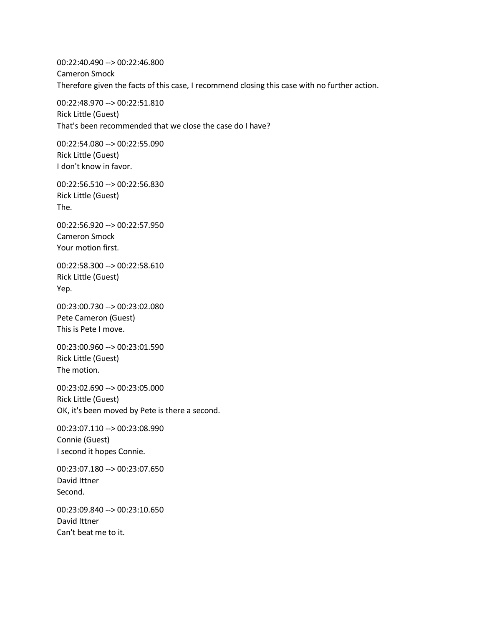00:22:40.490 --> 00:22:46.800 Cameron Smock Therefore given the facts of this case, I recommend closing this case with no further action.

00:22:48.970 --> 00:22:51.810 Rick Little (Guest) That's been recommended that we close the case do I have?

00:22:54.080 --> 00:22:55.090 Rick Little (Guest) I don't know in favor.

00:22:56.510 --> 00:22:56.830 Rick Little (Guest) The.

00:22:56.920 --> 00:22:57.950 Cameron Smock Your motion first.

00:22:58.300 --> 00:22:58.610 Rick Little (Guest) Yep.

00:23:00.730 --> 00:23:02.080 Pete Cameron (Guest) This is Pete I move.

00:23:00.960 --> 00:23:01.590 Rick Little (Guest) The motion.

00:23:02.690 --> 00:23:05.000 Rick Little (Guest) OK, it's been moved by Pete is there a second.

00:23:07.110 --> 00:23:08.990 Connie (Guest) I second it hopes Connie.

00:23:07.180 --> 00:23:07.650 David Ittner Second.

00:23:09.840 --> 00:23:10.650 David Ittner Can't beat me to it.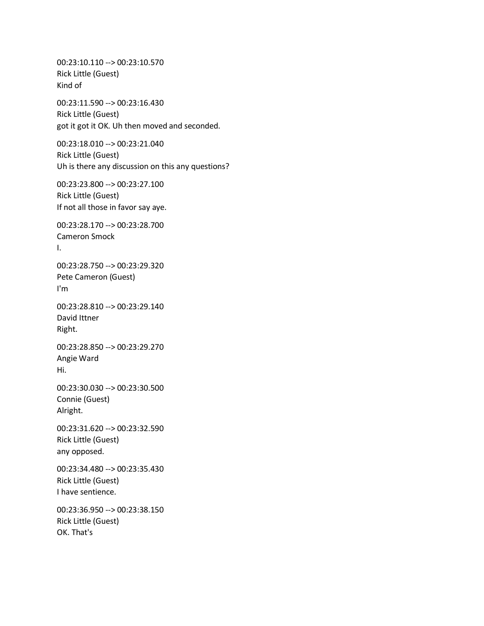00:23:10.110 --> 00:23:10.570 Rick Little (Guest) Kind of 00:23:11.590 --> 00:23:16.430 Rick Little (Guest) got it got it OK. Uh then moved and seconded. 00:23:18.010 --> 00:23:21.040 Rick Little (Guest) Uh is there any discussion on this any questions? 00:23:23.800 --> 00:23:27.100 Rick Little (Guest) If not all those in favor say aye. 00:23:28.170 --> 00:23:28.700 Cameron Smock I. 00:23:28.750 --> 00:23:29.320 Pete Cameron (Guest) I'm 00:23:28.810 --> 00:23:29.140 David Ittner Right. 00:23:28.850 --> 00:23:29.270 Angie Ward Hi. 00:23:30.030 --> 00:23:30.500 Connie (Guest) Alright. 00:23:31.620 --> 00:23:32.590 Rick Little (Guest) any opposed. 00:23:34.480 --> 00:23:35.430 Rick Little (Guest) I have sentience. 00:23:36.950 --> 00:23:38.150 Rick Little (Guest) OK. That's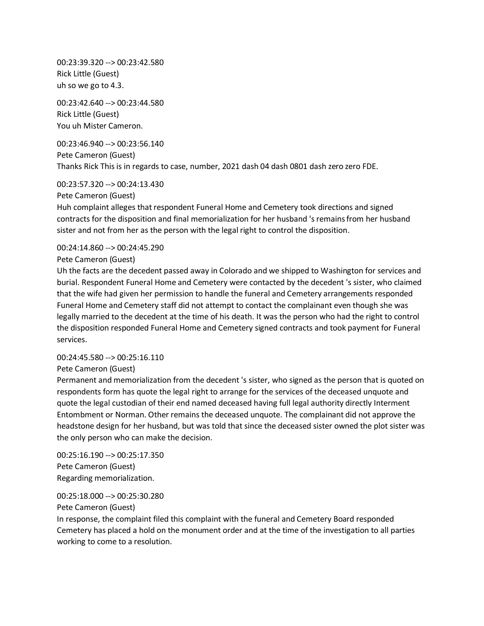00:23:39.320 --> 00:23:42.580 Rick Little (Guest) uh so we go to 4.3.

00:23:42.640 --> 00:23:44.580 Rick Little (Guest) You uh Mister Cameron.

00:23:46.940 --> 00:23:56.140 Pete Cameron (Guest) Thanks Rick This is in regards to case, number, 2021 dash 04 dash 0801 dash zero zero FDE.

00:23:57.320 --> 00:24:13.430

Pete Cameron (Guest)

Huh complaint alleges that respondent Funeral Home and Cemetery took directions and signed contracts for the disposition and final memorialization for her husband 's remains from her husband sister and not from her as the person with the legal right to control the disposition.

00:24:14.860 --> 00:24:45.290

Pete Cameron (Guest)

Uh the facts are the decedent passed away in Colorado and we shipped to Washington for services and burial. Respondent Funeral Home and Cemetery were contacted by the decedent 's sister, who claimed that the wife had given her permission to handle the funeral and Cemetery arrangements responded Funeral Home and Cemetery staff did not attempt to contact the complainant even though she was legally married to the decedent at the time of his death. It was the person who had the right to control the disposition responded Funeral Home and Cemetery signed contracts and took payment for Funeral services.

00:24:45.580 --> 00:25:16.110

Pete Cameron (Guest)

Permanent and memorialization from the decedent 's sister, who signed as the person that is quoted on respondents form has quote the legal right to arrange for the services of the deceased unquote and quote the legal custodian of their end named deceased having full legal authority directly Interment Entombment or Norman. Other remains the deceased unquote. The complainant did not approve the headstone design for her husband, but was told that since the deceased sister owned the plot sister was the only person who can make the decision.

00:25:16.190 --> 00:25:17.350 Pete Cameron (Guest) Regarding memorialization.

00:25:18.000 --> 00:25:30.280

Pete Cameron (Guest)

In response, the complaint filed this complaint with the funeral and Cemetery Board responded Cemetery has placed a hold on the monument order and at the time of the investigation to all parties working to come to a resolution.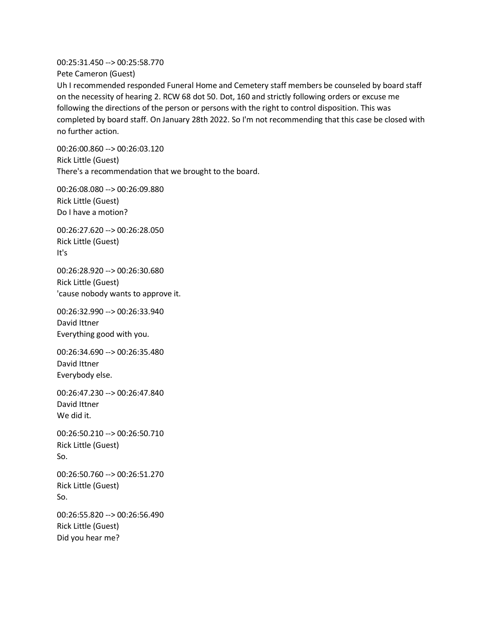00:25:31.450 --> 00:25:58.770

Pete Cameron (Guest)

Uh I recommended responded Funeral Home and Cemetery staff members be counseled by board staff on the necessity of hearing 2. RCW 68 dot 50. Dot, 160 and strictly following orders or excuse me following the directions of the person or persons with the right to control disposition. This was completed by board staff. On January 28th 2022. So I'm not recommending that this case be closed with no further action.

00:26:00.860 --> 00:26:03.120 Rick Little (Guest) There's a recommendation that we brought to the board.

00:26:08.080 --> 00:26:09.880 Rick Little (Guest) Do I have a motion?

00:26:27.620 --> 00:26:28.050 Rick Little (Guest) It's

00:26:28.920 --> 00:26:30.680 Rick Little (Guest) 'cause nobody wants to approve it.

00:26:32.990 --> 00:26:33.940 David Ittner Everything good with you.

00:26:34.690 --> 00:26:35.480 David Ittner Everybody else.

00:26:47.230 --> 00:26:47.840 David Ittner We did it.

00:26:50.210 --> 00:26:50.710 Rick Little (Guest) So.

00:26:50.760 --> 00:26:51.270 Rick Little (Guest) So.

00:26:55.820 --> 00:26:56.490 Rick Little (Guest) Did you hear me?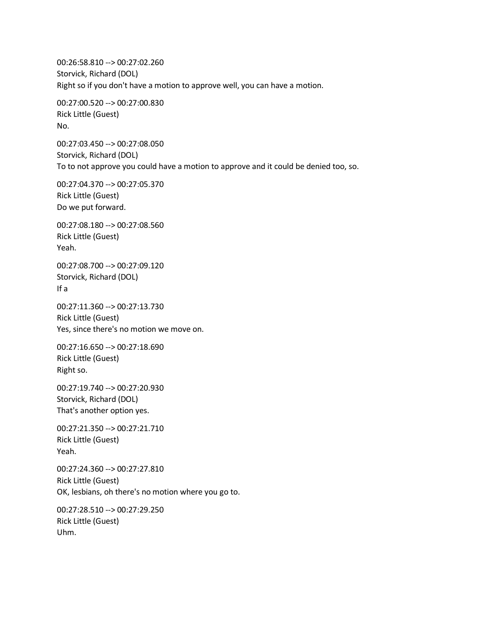00:26:58.810 --> 00:27:02.260 Storvick, Richard (DOL) Right so if you don't have a motion to approve well, you can have a motion.

00:27:00.520 --> 00:27:00.830 Rick Little (Guest) No.

00:27:03.450 --> 00:27:08.050 Storvick, Richard (DOL) To to not approve you could have a motion to approve and it could be denied too, so.

00:27:04.370 --> 00:27:05.370 Rick Little (Guest) Do we put forward.

00:27:08.180 --> 00:27:08.560 Rick Little (Guest) Yeah.

00:27:08.700 --> 00:27:09.120 Storvick, Richard (DOL) If a

00:27:11.360 --> 00:27:13.730 Rick Little (Guest) Yes, since there's no motion we move on.

00:27:16.650 --> 00:27:18.690 Rick Little (Guest) Right so.

00:27:19.740 --> 00:27:20.930 Storvick, Richard (DOL) That's another option yes.

00:27:21.350 --> 00:27:21.710 Rick Little (Guest) Yeah.

00:27:24.360 --> 00:27:27.810 Rick Little (Guest) OK, lesbians, oh there's no motion where you go to.

00:27:28.510 --> 00:27:29.250 Rick Little (Guest) Uhm.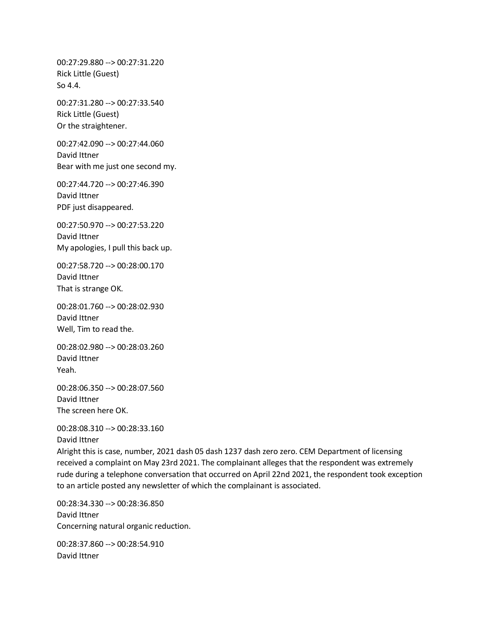00:27:29.880 --> 00:27:31.220 Rick Little (Guest) So 4.4.

00:27:31.280 --> 00:27:33.540 Rick Little (Guest) Or the straightener.

00:27:42.090 --> 00:27:44.060 David Ittner Bear with me just one second my.

00:27:44.720 --> 00:27:46.390 David Ittner PDF just disappeared.

00:27:50.970 --> 00:27:53.220 David Ittner My apologies, I pull this back up.

00:27:58.720 --> 00:28:00.170 David Ittner That is strange OK.

00:28:01.760 --> 00:28:02.930 David Ittner Well, Tim to read the.

00:28:02.980 --> 00:28:03.260 David Ittner Yeah.

00:28:06.350 --> 00:28:07.560 David Ittner The screen here OK.

00:28:08.310 --> 00:28:33.160 David Ittner

Alright this is case, number, 2021 dash 05 dash 1237 dash zero zero. CEM Department of licensing received a complaint on May 23rd 2021. The complainant alleges that the respondent was extremely rude during a telephone conversation that occurred on April 22nd 2021, the respondent took exception to an article posted any newsletter of which the complainant is associated.

00:28:34.330 --> 00:28:36.850 David Ittner Concerning natural organic reduction.

00:28:37.860 --> 00:28:54.910 David Ittner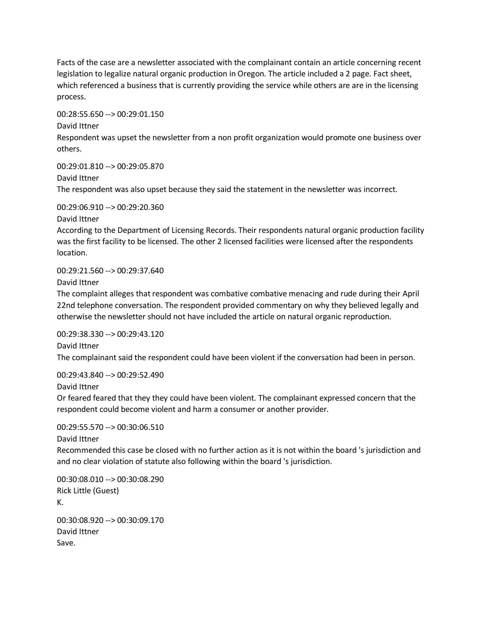Facts of the case are a newsletter associated with the complainant contain an article concerning recent legislation to legalize natural organic production in Oregon. The article included a 2 page. Fact sheet, which referenced a business that is currently providing the service while others are are in the licensing process.

00:28:55.650 --> 00:29:01.150

David Ittner

Respondent was upset the newsletter from a non profit organization would promote one business over others.

00:29:01.810 --> 00:29:05.870 David Ittner The respondent was also upset because they said the statement in the newsletter was incorrect.

00:29:06.910 --> 00:29:20.360

David Ittner

According to the Department of Licensing Records. Their respondents natural organic production facility was the first facility to be licensed. The other 2 licensed facilities were licensed after the respondents location.

00:29:21.560 --> 00:29:37.640

David Ittner

The complaint alleges that respondent was combative combative menacing and rude during their April 22nd telephone conversation. The respondent provided commentary on why they believed legally and otherwise the newsletter should not have included the article on natural organic reproduction.

00:29:38.330 --> 00:29:43.120 David Ittner

The complainant said the respondent could have been violent if the conversation had been in person.

00:29:43.840 --> 00:29:52.490

David Ittner

Or feared feared that they they could have been violent. The complainant expressed concern that the respondent could become violent and harm a consumer or another provider.

00:29:55.570 --> 00:30:06.510

David Ittner

Recommended this case be closed with no further action as it is not within the board 's jurisdiction and and no clear violation of statute also following within the board 's jurisdiction.

00:30:08.010 --> 00:30:08.290 Rick Little (Guest) K. 00:30:08.920 --> 00:30:09.170 David Ittner Save.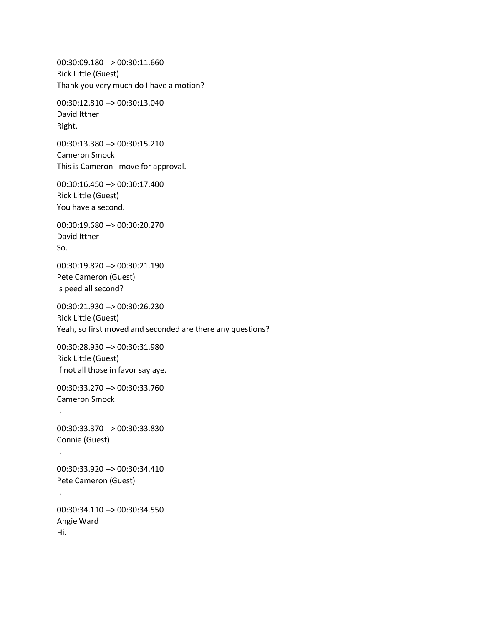00:30:09.180 --> 00:30:11.660 Rick Little (Guest) Thank you very much do I have a motion?

00:30:12.810 --> 00:30:13.040 David Ittner Right.

00:30:13.380 --> 00:30:15.210 Cameron Smock This is Cameron I move for approval.

00:30:16.450 --> 00:30:17.400 Rick Little (Guest) You have a second.

00:30:19.680 --> 00:30:20.270 David Ittner So.

00:30:19.820 --> 00:30:21.190 Pete Cameron (Guest) Is peed all second?

00:30:21.930 --> 00:30:26.230 Rick Little (Guest) Yeah, so first moved and seconded are there any questions?

00:30:28.930 --> 00:30:31.980 Rick Little (Guest) If not all those in favor say aye.

00:30:33.270 --> 00:30:33.760 Cameron Smock I.

00:30:33.370 --> 00:30:33.830 Connie (Guest) I.

00:30:33.920 --> 00:30:34.410 Pete Cameron (Guest) I. 00:30:34.110 --> 00:30:34.550

Angie Ward Hi.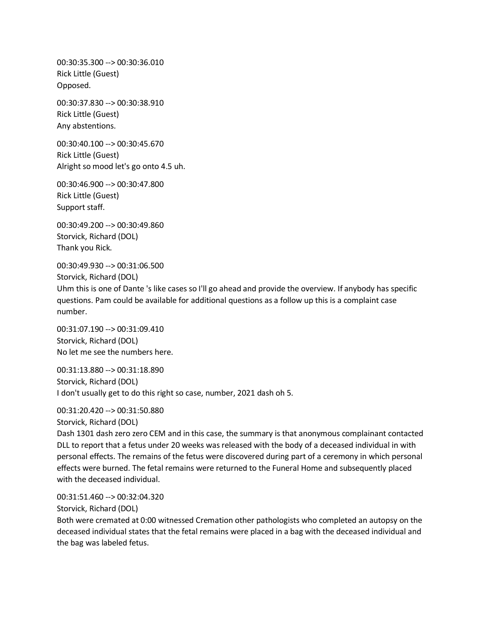00:30:35.300 --> 00:30:36.010 Rick Little (Guest) Opposed.

00:30:37.830 --> 00:30:38.910 Rick Little (Guest) Any abstentions.

00:30:40.100 --> 00:30:45.670 Rick Little (Guest) Alright so mood let's go onto 4.5 uh.

00:30:46.900 --> 00:30:47.800 Rick Little (Guest) Support staff.

00:30:49.200 --> 00:30:49.860 Storvick, Richard (DOL) Thank you Rick.

00:30:49.930 --> 00:31:06.500 Storvick, Richard (DOL) Uhm this is one of Dante 's like cases so I'll go ahead and provide the overview. If anybody has specific questions. Pam could be available for additional questions as a follow up this is a complaint case number.

00:31:07.190 --> 00:31:09.410 Storvick, Richard (DOL) No let me see the numbers here.

00:31:13.880 --> 00:31:18.890 Storvick, Richard (DOL) I don't usually get to do this right so case, number, 2021 dash oh 5.

00:31:20.420 --> 00:31:50.880

Storvick, Richard (DOL)

Dash 1301 dash zero zero CEM and in this case, the summary is that anonymous complainant contacted DLL to report that a fetus under 20 weeks was released with the body of a deceased individual in with personal effects. The remains of the fetus were discovered during part of a ceremony in which personal effects were burned. The fetal remains were returned to the Funeral Home and subsequently placed with the deceased individual.

00:31:51.460 --> 00:32:04.320

Storvick, Richard (DOL)

Both were cremated at 0:00 witnessed Cremation other pathologists who completed an autopsy on the deceased individual states that the fetal remains were placed in a bag with the deceased individual and the bag was labeled fetus.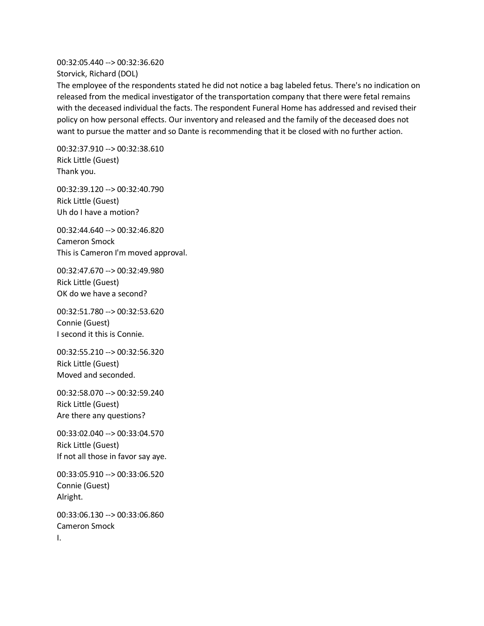00:32:05.440 --> 00:32:36.620 Storvick, Richard (DOL)

The employee of the respondents stated he did not notice a bag labeled fetus. There's no indication on released from the medical investigator of the transportation company that there were fetal remains with the deceased individual the facts. The respondent Funeral Home has addressed and revised their policy on how personal effects. Our inventory and released and the family of the deceased does not want to pursue the matter and so Dante is recommending that it be closed with no further action.

00:32:37.910 --> 00:32:38.610 Rick Little (Guest) Thank you.

00:32:39.120 --> 00:32:40.790 Rick Little (Guest) Uh do I have a motion?

00:32:44.640 --> 00:32:46.820 Cameron Smock This is Cameron I'm moved approval.

00:32:47.670 --> 00:32:49.980 Rick Little (Guest) OK do we have a second?

00:32:51.780 --> 00:32:53.620 Connie (Guest) I second it this is Connie.

00:32:55.210 --> 00:32:56.320 Rick Little (Guest) Moved and seconded.

00:32:58.070 --> 00:32:59.240 Rick Little (Guest) Are there any questions?

00:33:02.040 --> 00:33:04.570 Rick Little (Guest) If not all those in favor say aye.

00:33:05.910 --> 00:33:06.520 Connie (Guest) Alright.

00:33:06.130 --> 00:33:06.860 Cameron Smock I.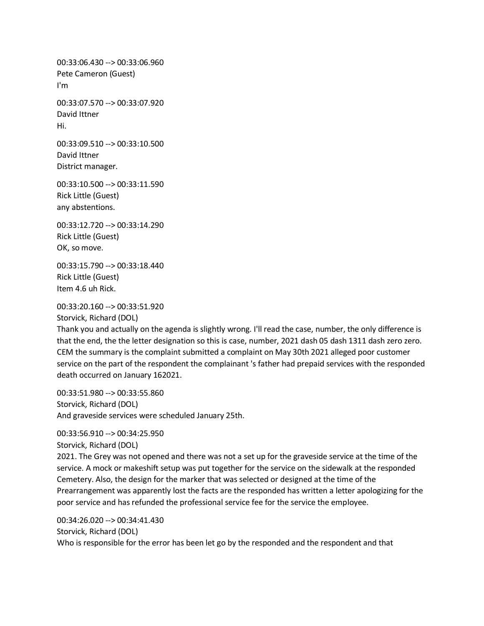00:33:06.430 --> 00:33:06.960 Pete Cameron (Guest) I'm

00:33:07.570 --> 00:33:07.920 David Ittner Hi.

00:33:09.510 --> 00:33:10.500 David Ittner District manager.

00:33:10.500 --> 00:33:11.590 Rick Little (Guest) any abstentions.

00:33:12.720 --> 00:33:14.290 Rick Little (Guest) OK, so move.

00:33:15.790 --> 00:33:18.440 Rick Little (Guest) Item 4.6 uh Rick.

00:33:20.160 --> 00:33:51.920 Storvick, Richard (DOL)

Thank you and actually on the agenda is slightly wrong. I'll read the case, number, the only difference is that the end, the the letter designation so this is case, number, 2021 dash 05 dash 1311 dash zero zero. CEM the summary is the complaint submitted a complaint on May 30th 2021 alleged poor customer service on the part of the respondent the complainant 's father had prepaid services with the responded death occurred on January 162021.

00:33:51.980 --> 00:33:55.860 Storvick, Richard (DOL) And graveside services were scheduled January 25th.

00:33:56.910 --> 00:34:25.950

Storvick, Richard (DOL)

2021. The Grey was not opened and there was not a set up for the graveside service at the time of the service. A mock or makeshift setup was put together for the service on the sidewalk at the responded Cemetery. Also, the design for the marker that was selected or designed at the time of the Prearrangement was apparently lost the facts are the responded has written a letter apologizing for the poor service and has refunded the professional service fee for the service the employee.

00:34:26.020 --> 00:34:41.430 Storvick, Richard (DOL) Who is responsible for the error has been let go by the responded and the respondent and that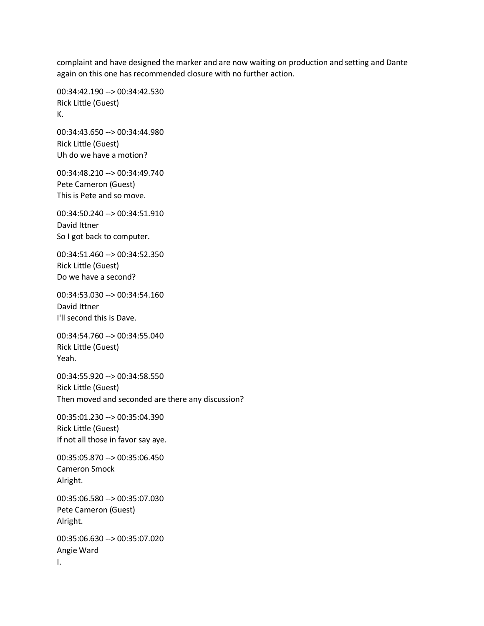complaint and have designed the marker and are now waiting on production and setting and Dante again on this one has recommended closure with no further action.

00:34:42.190 --> 00:34:42.530 Rick Little (Guest) K.

00:34:43.650 --> 00:34:44.980 Rick Little (Guest) Uh do we have a motion?

00:34:48.210 --> 00:34:49.740 Pete Cameron (Guest) This is Pete and so move.

00:34:50.240 --> 00:34:51.910 David Ittner So I got back to computer.

00:34:51.460 --> 00:34:52.350 Rick Little (Guest) Do we have a second?

00:34:53.030 --> 00:34:54.160 David Ittner I'll second this is Dave.

00:34:54.760 --> 00:34:55.040 Rick Little (Guest) Yeah.

00:34:55.920 --> 00:34:58.550 Rick Little (Guest) Then moved and seconded are there any discussion?

00:35:01.230 --> 00:35:04.390 Rick Little (Guest) If not all those in favor say aye.

00:35:05.870 --> 00:35:06.450 Cameron Smock Alright.

00:35:06.580 --> 00:35:07.030 Pete Cameron (Guest) Alright.

00:35:06.630 --> 00:35:07.020 Angie Ward I.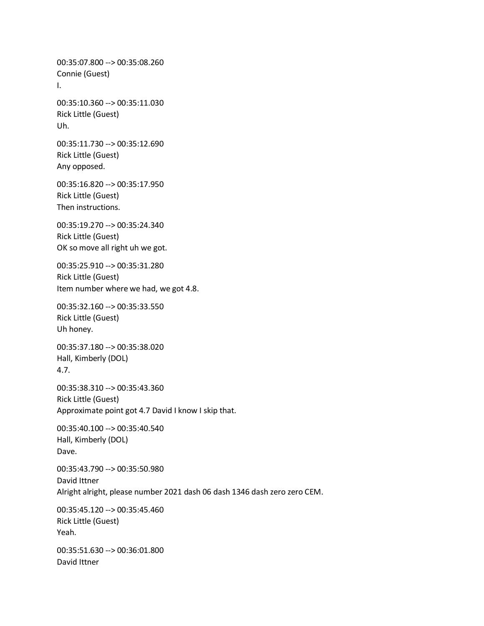00:35:07.800 --> 00:35:08.260 Connie (Guest) I. 00:35:10.360 --> 00:35:11.030 Rick Little (Guest) Uh. 00:35:11.730 --> 00:35:12.690 Rick Little (Guest) Any opposed. 00:35:16.820 --> 00:35:17.950 Rick Little (Guest) Then instructions. 00:35:19.270 --> 00:35:24.340 Rick Little (Guest) OK so move all right uh we got. 00:35:25.910 --> 00:35:31.280 Rick Little (Guest) Item number where we had, we got 4.8. 00:35:32.160 --> 00:35:33.550 Rick Little (Guest) Uh honey. 00:35:37.180 --> 00:35:38.020 Hall, Kimberly (DOL) 4.7. 00:35:38.310 --> 00:35:43.360 Rick Little (Guest) Approximate point got 4.7 David I know I skip that. 00:35:40.100 --> 00:35:40.540 Hall, Kimberly (DOL) Dave. 00:35:43.790 --> 00:35:50.980 David Ittner Alright alright, please number 2021 dash 06 dash 1346 dash zero zero CEM. 00:35:45.120 --> 00:35:45.460 Rick Little (Guest) Yeah. 00:35:51.630 --> 00:36:01.800 David Ittner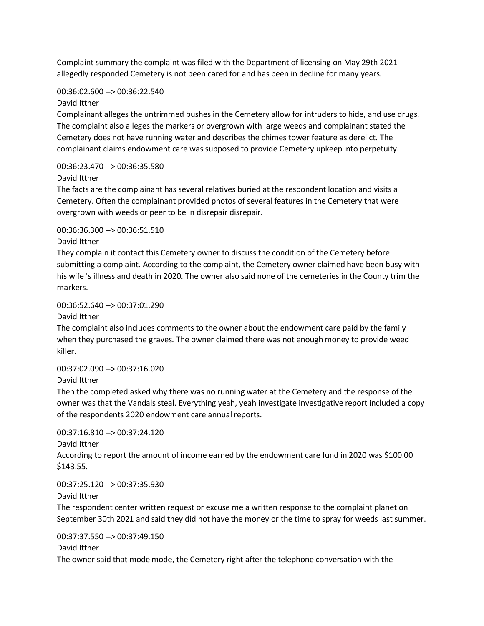Complaint summary the complaint was filed with the Department of licensing on May 29th 2021 allegedly responded Cemetery is not been cared for and has been in decline for many years.

### 00:36:02.600 --> 00:36:22.540

### David Ittner

Complainant alleges the untrimmed bushes in the Cemetery allow for intruders to hide, and use drugs. The complaint also alleges the markers or overgrown with large weeds and complainant stated the Cemetery does not have running water and describes the chimes tower feature as derelict. The complainant claims endowment care was supposed to provide Cemetery upkeep into perpetuity.

## 00:36:23.470 --> 00:36:35.580

## David Ittner

The facts are the complainant has several relatives buried at the respondent location and visits a Cemetery. Often the complainant provided photos of several features in the Cemetery that were overgrown with weeds or peer to be in disrepair disrepair.

00:36:36.300 --> 00:36:51.510

### David Ittner

They complain it contact this Cemetery owner to discuss the condition of the Cemetery before submitting a complaint. According to the complaint, the Cemetery owner claimed have been busy with his wife 's illness and death in 2020. The owner also said none of the cemeteries in the County trim the markers.

## 00:36:52.640 --> 00:37:01.290

David Ittner

The complaint also includes comments to the owner about the endowment care paid by the family when they purchased the graves. The owner claimed there was not enough money to provide weed killer.

### 00:37:02.090 --> 00:37:16.020

David Ittner

Then the completed asked why there was no running water at the Cemetery and the response of the owner was that the Vandals steal. Everything yeah, yeah investigate investigative report included a copy of the respondents 2020 endowment care annual reports.

# 00:37:16.810 --> 00:37:24.120

David Ittner

According to report the amount of income earned by the endowment care fund in 2020 was \$100.00 \$143.55.

00:37:25.120 --> 00:37:35.930

David Ittner

The respondent center written request or excuse me a written response to the complaint planet on September 30th 2021 and said they did not have the money or the time to spray for weeds last summer.

00:37:37.550 --> 00:37:49.150 David Ittner The owner said that mode mode, the Cemetery right after the telephone conversation with the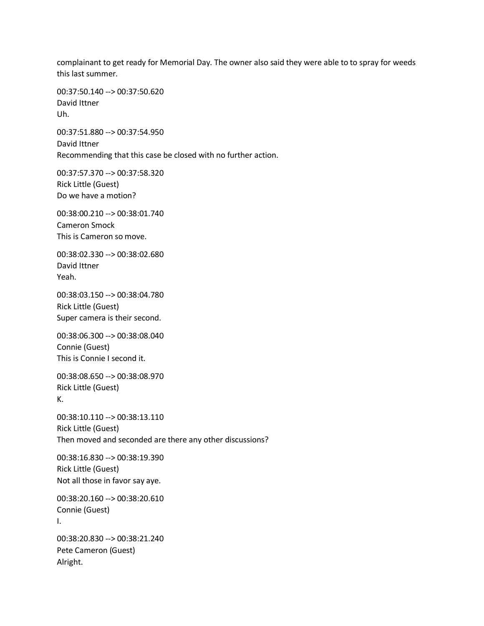complainant to get ready for Memorial Day. The owner also said they were able to to spray for weeds this last summer.

00:37:50.140 --> 00:37:50.620 David Ittner Uh.

00:37:51.880 --> 00:37:54.950 David Ittner Recommending that this case be closed with no further action.

00:37:57.370 --> 00:37:58.320 Rick Little (Guest) Do we have a motion?

00:38:00.210 --> 00:38:01.740 Cameron Smock This is Cameron so move.

00:38:02.330 --> 00:38:02.680 David Ittner Yeah.

00:38:03.150 --> 00:38:04.780 Rick Little (Guest) Super camera is their second.

00:38:06.300 --> 00:38:08.040 Connie (Guest) This is Connie I second it.

00:38:08.650 --> 00:38:08.970 Rick Little (Guest) K.

00:38:10.110 --> 00:38:13.110 Rick Little (Guest) Then moved and seconded are there any other discussions?

00:38:16.830 --> 00:38:19.390 Rick Little (Guest) Not all those in favor say aye.

00:38:20.160 --> 00:38:20.610 Connie (Guest) I.

00:38:20.830 --> 00:38:21.240 Pete Cameron (Guest) Alright.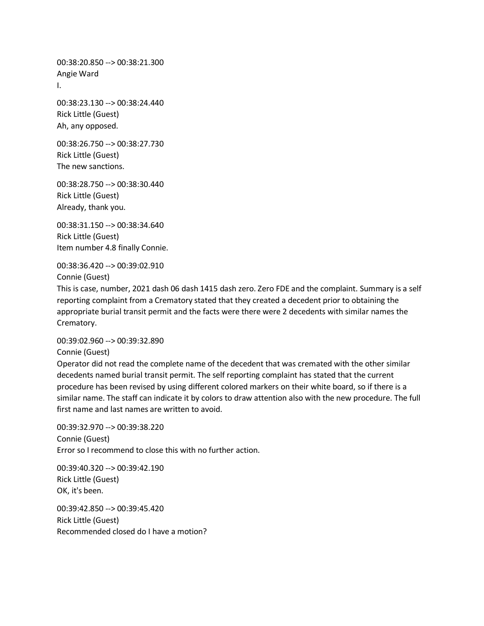00:38:20.850 --> 00:38:21.300 Angie Ward I.

00:38:23.130 --> 00:38:24.440 Rick Little (Guest) Ah, any opposed.

00:38:26.750 --> 00:38:27.730 Rick Little (Guest) The new sanctions.

00:38:28.750 --> 00:38:30.440 Rick Little (Guest) Already, thank you.

00:38:31.150 --> 00:38:34.640 Rick Little (Guest) Item number 4.8 finally Connie.

00:38:36.420 --> 00:39:02.910 Connie (Guest)

This is case, number, 2021 dash 06 dash 1415 dash zero. Zero FDE and the complaint. Summary is a self reporting complaint from a Crematory stated that they created a decedent prior to obtaining the appropriate burial transit permit and the facts were there were 2 decedents with similar names the Crematory.

00:39:02.960 --> 00:39:32.890

Connie (Guest)

Operator did not read the complete name of the decedent that was cremated with the other similar decedents named burial transit permit. The self reporting complaint has stated that the current procedure has been revised by using different colored markers on their white board, so if there is a similar name. The staff can indicate it by colors to draw attention also with the new procedure. The full first name and last names are written to avoid.

00:39:32.970 --> 00:39:38.220 Connie (Guest) Error so I recommend to close this with no further action.

00:39:40.320 --> 00:39:42.190 Rick Little (Guest) OK, it's been.

00:39:42.850 --> 00:39:45.420 Rick Little (Guest) Recommended closed do I have a motion?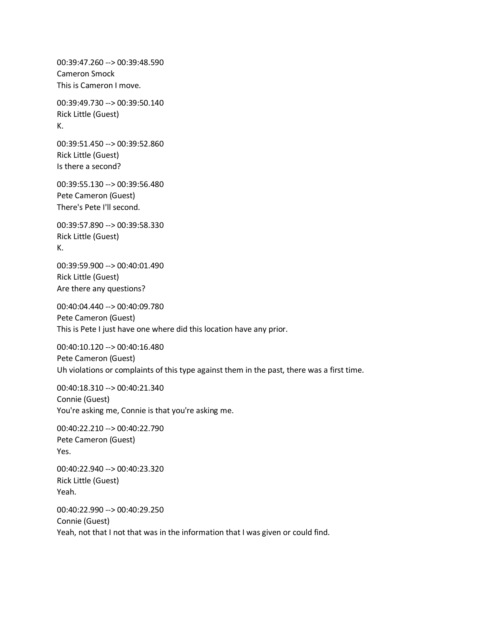00:39:47.260 --> 00:39:48.590 Cameron Smock This is Cameron I move.

00:39:49.730 --> 00:39:50.140 Rick Little (Guest) K.

00:39:51.450 --> 00:39:52.860 Rick Little (Guest) Is there a second?

00:39:55.130 --> 00:39:56.480 Pete Cameron (Guest) There's Pete I'll second.

00:39:57.890 --> 00:39:58.330 Rick Little (Guest) K.

00:39:59.900 --> 00:40:01.490 Rick Little (Guest) Are there any questions?

00:40:04.440 --> 00:40:09.780 Pete Cameron (Guest) This is Pete I just have one where did this location have any prior.

00:40:10.120 --> 00:40:16.480 Pete Cameron (Guest) Uh violations or complaints of this type against them in the past, there was a first time.

00:40:18.310 --> 00:40:21.340 Connie (Guest) You're asking me, Connie is that you're asking me.

00:40:22.210 --> 00:40:22.790 Pete Cameron (Guest) Yes.

00:40:22.940 --> 00:40:23.320 Rick Little (Guest) Yeah.

00:40:22.990 --> 00:40:29.250 Connie (Guest) Yeah, not that I not that was in the information that I was given or could find.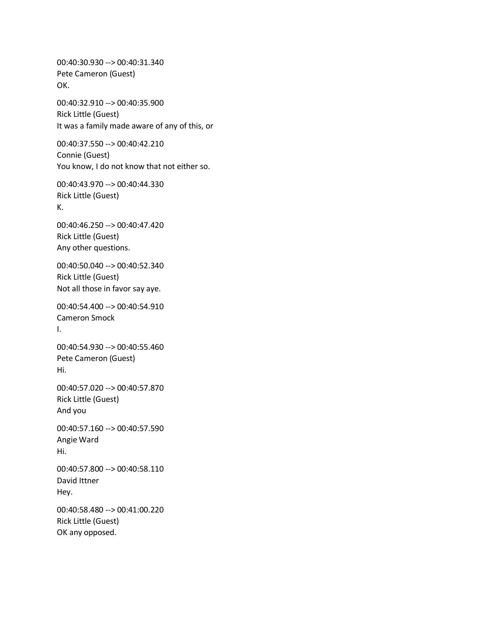00:40:30.930 --> 00:40:31.340 Pete Cameron (Guest) OK.

00:40:32.910 --> 00:40:35.900 Rick Little (Guest) It was a family made aware of any of this, or

00:40:37.550 --> 00:40:42.210 Connie (Guest) You know, I do not know that not either so.

00:40:43.970 --> 00:40:44.330 Rick Little (Guest) K.

00:40:46.250 --> 00:40:47.420 Rick Little (Guest) Any other questions.

00:40:50.040 --> 00:40:52.340 Rick Little (Guest) Not all those in favor say aye.

00:40:54.400 --> 00:40:54.910 Cameron Smock I.

00:40:54.930 --> 00:40:55.460 Pete Cameron (Guest) Hi.

00:40:57.020 --> 00:40:57.870 Rick Little (Guest) And you

00:40:57.160 --> 00:40:57.590 Angie Ward Hi.

00:40:57.800 --> 00:40:58.110 David Ittner Hey.

00:40:58.480 --> 00:41:00.220 Rick Little (Guest) OK any opposed.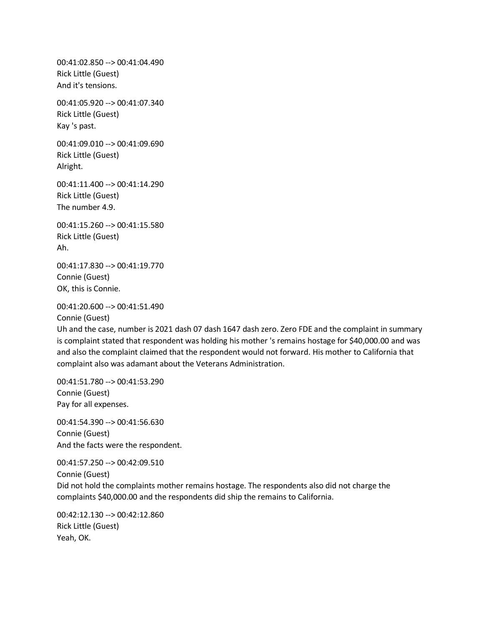00:41:02.850 --> 00:41:04.490 Rick Little (Guest) And it's tensions.

00:41:05.920 --> 00:41:07.340 Rick Little (Guest) Kay 's past.

00:41:09.010 --> 00:41:09.690 Rick Little (Guest) Alright.

00:41:11.400 --> 00:41:14.290 Rick Little (Guest) The number 4.9.

00:41:15.260 --> 00:41:15.580 Rick Little (Guest) Ah.

00:41:17.830 --> 00:41:19.770 Connie (Guest) OK, this is Connie.

00:41:20.600 --> 00:41:51.490 Connie (Guest)

Uh and the case, number is 2021 dash 07 dash 1647 dash zero. Zero FDE and the complaint in summary is complaint stated that respondent was holding his mother 's remains hostage for \$40,000.00 and was and also the complaint claimed that the respondent would not forward. His mother to California that complaint also was adamant about the Veterans Administration.

00:41:51.780 --> 00:41:53.290 Connie (Guest) Pay for all expenses.

00:41:54.390 --> 00:41:56.630 Connie (Guest) And the facts were the respondent.

00:41:57.250 --> 00:42:09.510 Connie (Guest) Did not hold the complaints mother remains hostage. The respondents also did not charge the complaints \$40,000.00 and the respondents did ship the remains to California.

00:42:12.130 --> 00:42:12.860 Rick Little (Guest) Yeah, OK.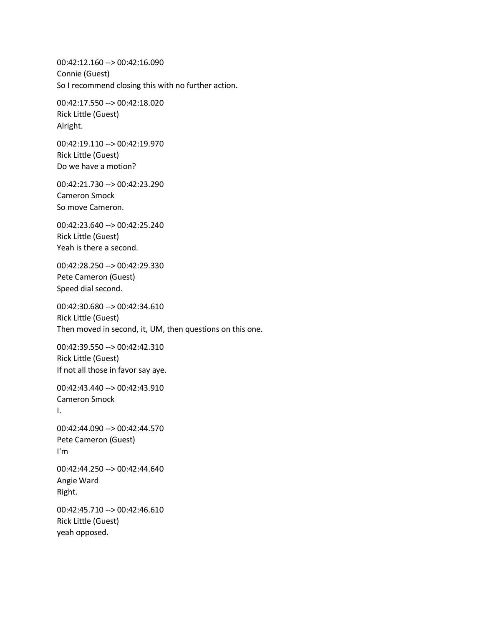00:42:12.160 --> 00:42:16.090 Connie (Guest) So I recommend closing this with no further action.

00:42:17.550 --> 00:42:18.020 Rick Little (Guest) Alright.

00:42:19.110 --> 00:42:19.970 Rick Little (Guest) Do we have a motion?

00:42:21.730 --> 00:42:23.290 Cameron Smock So move Cameron.

00:42:23.640 --> 00:42:25.240 Rick Little (Guest) Yeah is there a second.

00:42:28.250 --> 00:42:29.330 Pete Cameron (Guest) Speed dial second.

00:42:30.680 --> 00:42:34.610 Rick Little (Guest) Then moved in second, it, UM, then questions on this one.

00:42:39.550 --> 00:42:42.310 Rick Little (Guest) If not all those in favor say aye.

00:42:43.440 --> 00:42:43.910 Cameron Smock I.

00:42:44.090 --> 00:42:44.570 Pete Cameron (Guest) I'm

00:42:44.250 --> 00:42:44.640 Angie Ward Right.

00:42:45.710 --> 00:42:46.610 Rick Little (Guest) yeah opposed.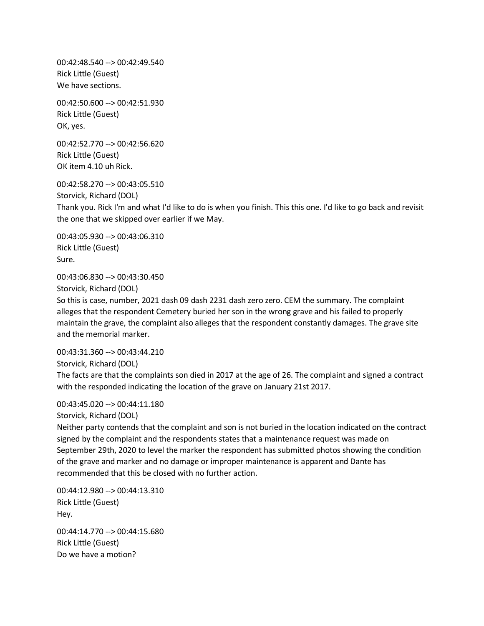00:42:48.540 --> 00:42:49.540 Rick Little (Guest) We have sections.

00:42:50.600 --> 00:42:51.930 Rick Little (Guest) OK, yes.

00:42:52.770 --> 00:42:56.620 Rick Little (Guest) OK item 4.10 uh Rick.

00:42:58.270 --> 00:43:05.510 Storvick, Richard (DOL) Thank you. Rick I'm and what I'd like to do is when you finish. This this one. I'd like to go back and revisit the one that we skipped over earlier if we May.

00:43:05.930 --> 00:43:06.310 Rick Little (Guest) Sure.

00:43:06.830 --> 00:43:30.450

Storvick, Richard (DOL)

So this is case, number, 2021 dash 09 dash 2231 dash zero zero. CEM the summary. The complaint alleges that the respondent Cemetery buried her son in the wrong grave and his failed to properly maintain the grave, the complaint also alleges that the respondent constantly damages. The grave site and the memorial marker.

00:43:31.360 --> 00:43:44.210 Storvick, Richard (DOL) The facts are that the complaints son died in 2017 at the age of 26. The complaint and signed a contract with the responded indicating the location of the grave on January 21st 2017.

00:43:45.020 --> 00:44:11.180

Storvick, Richard (DOL)

Neither party contends that the complaint and son is not buried in the location indicated on the contract signed by the complaint and the respondents states that a maintenance request was made on September 29th, 2020 to level the marker the respondent has submitted photos showing the condition of the grave and marker and no damage or improper maintenance is apparent and Dante has recommended that this be closed with no further action.

00:44:12.980 --> 00:44:13.310 Rick Little (Guest) Hey.

00:44:14.770 --> 00:44:15.680 Rick Little (Guest) Do we have a motion?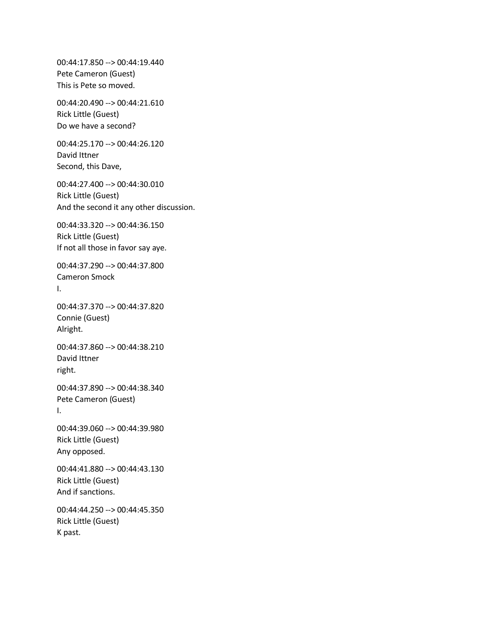00:44:17.850 --> 00:44:19.440 Pete Cameron (Guest) This is Pete so moved.

00:44:20.490 --> 00:44:21.610 Rick Little (Guest) Do we have a second?

00:44:25.170 --> 00:44:26.120 David Ittner Second, this Dave,

00:44:27.400 --> 00:44:30.010 Rick Little (Guest) And the second it any other discussion.

00:44:33.320 --> 00:44:36.150 Rick Little (Guest) If not all those in favor say aye.

00:44:37.290 --> 00:44:37.800 Cameron Smock I.

00:44:37.370 --> 00:44:37.820 Connie (Guest) Alright.

00:44:37.860 --> 00:44:38.210 David Ittner right.

00:44:37.890 --> 00:44:38.340 Pete Cameron (Guest) I.

00:44:39.060 --> 00:44:39.980 Rick Little (Guest) Any opposed.

00:44:41.880 --> 00:44:43.130 Rick Little (Guest) And if sanctions.

00:44:44.250 --> 00:44:45.350 Rick Little (Guest) K past.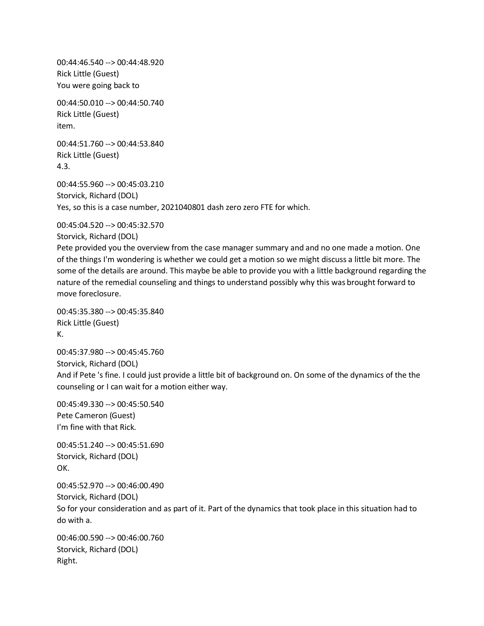00:44:46.540 --> 00:44:48.920 Rick Little (Guest) You were going back to

00:44:50.010 --> 00:44:50.740 Rick Little (Guest) item.

00:44:51.760 --> 00:44:53.840 Rick Little (Guest) 4.3.

00:44:55.960 --> 00:45:03.210 Storvick, Richard (DOL) Yes, so this is a case number, 2021040801 dash zero zero FTE for which.

00:45:04.520 --> 00:45:32.570

Storvick, Richard (DOL)

Pete provided you the overview from the case manager summary and and no one made a motion. One of the things I'm wondering is whether we could get a motion so we might discuss a little bit more. The some of the details are around. This maybe be able to provide you with a little background regarding the nature of the remedial counseling and things to understand possibly why this was brought forward to move foreclosure.

00:45:35.380 --> 00:45:35.840 Rick Little (Guest) K.

00:45:37.980 --> 00:45:45.760 Storvick, Richard (DOL) And if Pete 's fine. I could just provide a little bit of background on. On some of the dynamics of the the counseling or I can wait for a motion either way.

00:45:49.330 --> 00:45:50.540 Pete Cameron (Guest) I'm fine with that Rick. 00:45:51.240 --> 00:45:51.690 Storvick, Richard (DOL) OK. 00:45:52.970 --> 00:46:00.490 Storvick, Richard (DOL) So for your consideration and as part of it. Part of the dynamics that took place in this situation had to do with a. 00:46:00.590 --> 00:46:00.760 Storvick, Richard (DOL) Right.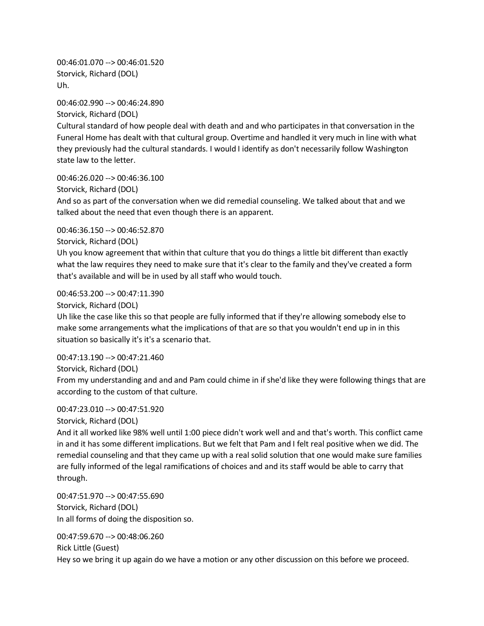00:46:01.070 --> 00:46:01.520 Storvick, Richard (DOL) Uh.

00:46:02.990 --> 00:46:24.890 Storvick, Richard (DOL) Cultural standard of how people deal with death and and who participates in that conversation in the Funeral Home has dealt with that cultural group. Overtime and handled it very much in line with what they previously had the cultural standards. I would I identify as don't necessarily follow Washington

state law to the letter.

00:46:26.020 --> 00:46:36.100 Storvick, Richard (DOL)

And so as part of the conversation when we did remedial counseling. We talked about that and we talked about the need that even though there is an apparent.

00:46:36.150 --> 00:46:52.870

Storvick, Richard (DOL)

Uh you know agreement that within that culture that you do things a little bit different than exactly what the law requires they need to make sure that it's clear to the family and they've created a form that's available and will be in used by all staff who would touch.

00:46:53.200 --> 00:47:11.390

Storvick, Richard (DOL)

Uh like the case like this so that people are fully informed that if they're allowing somebody else to make some arrangements what the implications of that are so that you wouldn't end up in in this situation so basically it's it's a scenario that.

00:47:13.190 --> 00:47:21.460

Storvick, Richard (DOL)

From my understanding and and and Pam could chime in if she'd like they were following things that are according to the custom of that culture.

### 00:47:23.010 --> 00:47:51.920

Storvick, Richard (DOL)

And it all worked like 98% well until 1:00 piece didn't work well and and that's worth. This conflict came in and it has some different implications. But we felt that Pam and I felt real positive when we did. The remedial counseling and that they came up with a real solid solution that one would make sure families are fully informed of the legal ramifications of choices and and its staff would be able to carry that through.

00:47:51.970 --> 00:47:55.690 Storvick, Richard (DOL) In all forms of doing the disposition so.

00:47:59.670 --> 00:48:06.260 Rick Little (Guest)

Hey so we bring it up again do we have a motion or any other discussion on this before we proceed.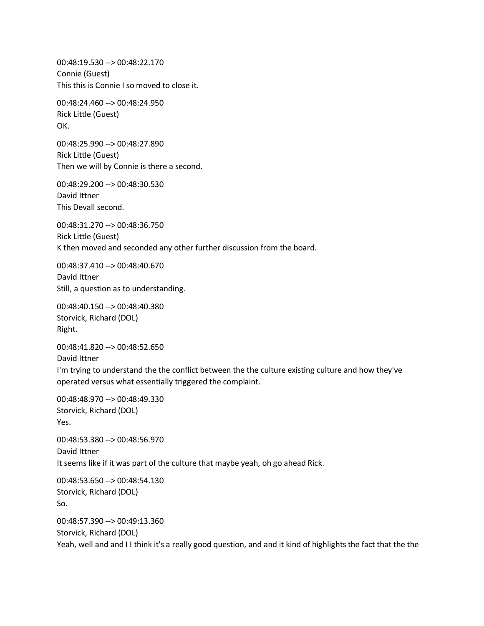00:48:19.530 --> 00:48:22.170 Connie (Guest) This this is Connie I so moved to close it.

00:48:24.460 --> 00:48:24.950 Rick Little (Guest) OK.

00:48:25.990 --> 00:48:27.890 Rick Little (Guest) Then we will by Connie is there a second.

00:48:29.200 --> 00:48:30.530 David Ittner This Devall second.

00:48:31.270 --> 00:48:36.750 Rick Little (Guest) K then moved and seconded any other further discussion from the board.

00:48:37.410 --> 00:48:40.670 David Ittner Still, a question as to understanding.

00:48:40.150 --> 00:48:40.380 Storvick, Richard (DOL) Right.

00:48:41.820 --> 00:48:52.650 David Ittner I'm trying to understand the the conflict between the the culture existing culture and how they've operated versus what essentially triggered the complaint.

00:48:48.970 --> 00:48:49.330 Storvick, Richard (DOL) Yes.

00:48:53.380 --> 00:48:56.970 David Ittner It seems like if it was part of the culture that maybe yeah, oh go ahead Rick.

00:48:53.650 --> 00:48:54.130 Storvick, Richard (DOL) So. 00:48:57.390 --> 00:49:13.360 Storvick, Richard (DOL)

Yeah, well and and I I think it's a really good question, and and it kind of highlights the fact that the the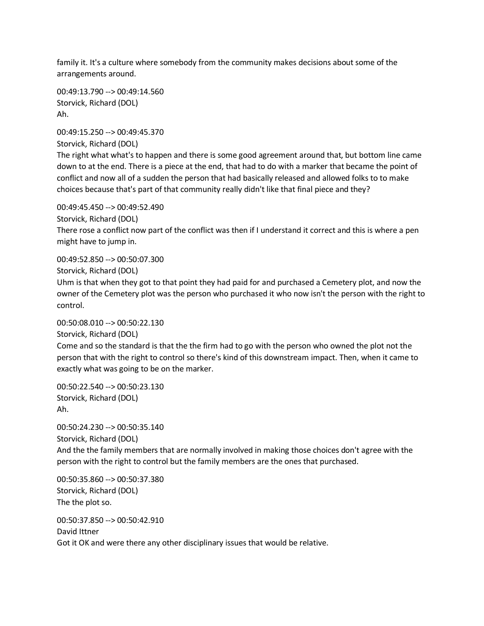family it. It's a culture where somebody from the community makes decisions about some of the arrangements around.

00:49:13.790 --> 00:49:14.560 Storvick, Richard (DOL) Ah.

00:49:15.250 --> 00:49:45.370 Storvick, Richard (DOL)

The right what what's to happen and there is some good agreement around that, but bottom line came down to at the end. There is a piece at the end, that had to do with a marker that became the point of conflict and now all of a sudden the person that had basically released and allowed folks to to make choices because that's part of that community really didn't like that final piece and they?

00:49:45.450 --> 00:49:52.490

Storvick, Richard (DOL)

There rose a conflict now part of the conflict was then if I understand it correct and this is where a pen might have to jump in.

00:49:52.850 --> 00:50:07.300

Storvick, Richard (DOL)

Uhm is that when they got to that point they had paid for and purchased a Cemetery plot, and now the owner of the Cemetery plot was the person who purchased it who now isn't the person with the right to control.

00:50:08.010 --> 00:50:22.130 Storvick, Richard (DOL) Come and so the standard is that the the firm had to go with the person who owned the plot not the person that with the right to control so there's kind of this downstream impact. Then, when it came to exactly what was going to be on the marker.

00:50:22.540 --> 00:50:23.130 Storvick, Richard (DOL) Ah.

00:50:24.230 --> 00:50:35.140 Storvick, Richard (DOL) And the the family members that are normally involved in making those choices don't agree with the person with the right to control but the family members are the ones that purchased.

00:50:35.860 --> 00:50:37.380 Storvick, Richard (DOL) The the plot so.

00:50:37.850 --> 00:50:42.910 David Ittner Got it OK and were there any other disciplinary issues that would be relative.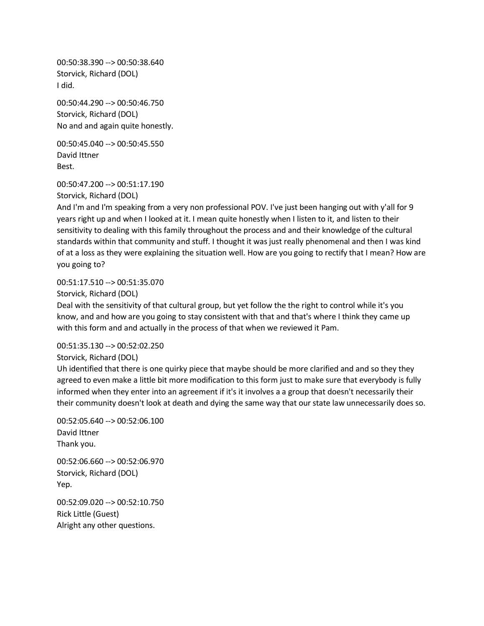00:50:38.390 --> 00:50:38.640 Storvick, Richard (DOL) I did.

00:50:44.290 --> 00:50:46.750 Storvick, Richard (DOL) No and and again quite honestly.

00:50:45.040 --> 00:50:45.550 David Ittner Best.

00:50:47.200 --> 00:51:17.190

Storvick, Richard (DOL)

And I'm and I'm speaking from a very non professional POV. I've just been hanging out with y'all for 9 years right up and when I looked at it. I mean quite honestly when I listen to it, and listen to their sensitivity to dealing with this family throughout the process and and their knowledge of the cultural standards within that community and stuff. I thought it was just really phenomenal and then I was kind of at a loss as they were explaining the situation well. How are you going to rectify that I mean? How are you going to?

00:51:17.510 --> 00:51:35.070

Storvick, Richard (DOL)

Deal with the sensitivity of that cultural group, but yet follow the the right to control while it's you know, and and how are you going to stay consistent with that and that's where I think they came up with this form and and actually in the process of that when we reviewed it Pam.

00:51:35.130 --> 00:52:02.250

Storvick, Richard (DOL)

Uh identified that there is one quirky piece that maybe should be more clarified and and so they they agreed to even make a little bit more modification to this form just to make sure that everybody is fully informed when they enter into an agreement if it's it involves a a group that doesn't necessarily their their community doesn't look at death and dying the same way that our state law unnecessarily does so.

00:52:05.640 --> 00:52:06.100 David Ittner Thank you. 00:52:06.660 --> 00:52:06.970 Storvick, Richard (DOL) Yep.

00:52:09.020 --> 00:52:10.750 Rick Little (Guest) Alright any other questions.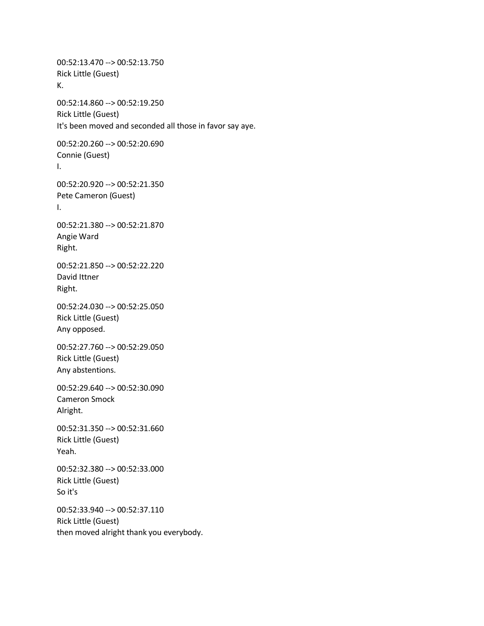00:52:13.470 --> 00:52:13.750 Rick Little (Guest) K. 00:52:14.860 --> 00:52:19.250 Rick Little (Guest) It's been moved and seconded all those in favor say aye. 00:52:20.260 --> 00:52:20.690 Connie (Guest) I. 00:52:20.920 --> 00:52:21.350 Pete Cameron (Guest) I. 00:52:21.380 --> 00:52:21.870 Angie Ward Right. 00:52:21.850 --> 00:52:22.220 David Ittner Right. 00:52:24.030 --> 00:52:25.050 Rick Little (Guest) Any opposed. 00:52:27.760 --> 00:52:29.050 Rick Little (Guest) Any abstentions. 00:52:29.640 --> 00:52:30.090 Cameron Smock Alright. 00:52:31.350 --> 00:52:31.660 Rick Little (Guest) Yeah. 00:52:32.380 --> 00:52:33.000 Rick Little (Guest) So it's 00:52:33.940 --> 00:52:37.110 Rick Little (Guest) then moved alright thank you everybody.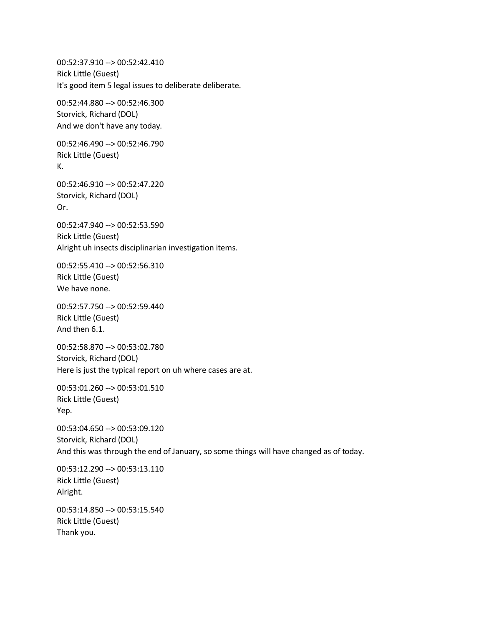00:52:37.910 --> 00:52:42.410 Rick Little (Guest) It's good item 5 legal issues to deliberate deliberate. 00:52:44.880 --> 00:52:46.300 Storvick, Richard (DOL) And we don't have any today. 00:52:46.490 --> 00:52:46.790 Rick Little (Guest) 00:52:46.910 --> 00:52:47.220 Storvick, Richard (DOL) Or. 00:52:47.940 --> 00:52:53.590 Rick Little (Guest) Alright uh insects disciplinarian investigation items. 00:52:55.410 --> 00:52:56.310 Rick Little (Guest) We have none. 00:52:57.750 --> 00:52:59.440 Rick Little (Guest) And then 6.1. 00:52:58.870 --> 00:53:02.780 Storvick, Richard (DOL) Here is just the typical report on uh where cases are at. 00:53:01.260 --> 00:53:01.510 Rick Little (Guest) Yep. 00:53:04.650 --> 00:53:09.120 Storvick, Richard (DOL) And this was through the end of January, so some things will have changed as of today. 00:53:12.290 --> 00:53:13.110 Rick Little (Guest) Alright. 00:53:14.850 --> 00:53:15.540 Rick Little (Guest) Thank you.

K.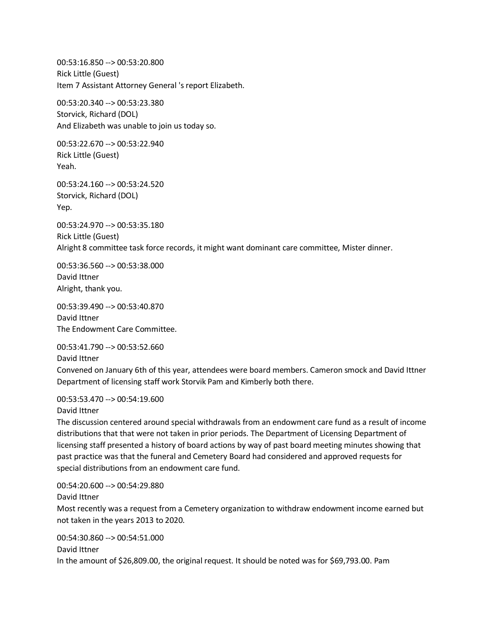00:53:16.850 --> 00:53:20.800 Rick Little (Guest) Item 7 Assistant Attorney General 's report Elizabeth.

00:53:20.340 --> 00:53:23.380 Storvick, Richard (DOL) And Elizabeth was unable to join us today so.

00:53:22.670 --> 00:53:22.940 Rick Little (Guest) Yeah.

00:53:24.160 --> 00:53:24.520 Storvick, Richard (DOL) Yep.

00:53:24.970 --> 00:53:35.180 Rick Little (Guest) Alright 8 committee task force records, it might want dominant care committee, Mister dinner.

00:53:36.560 --> 00:53:38.000 David Ittner Alright, thank you.

00:53:39.490 --> 00:53:40.870 David Ittner The Endowment Care Committee.

00:53:41.790 --> 00:53:52.660

David Ittner

Convened on January 6th of this year, attendees were board members. Cameron smock and David Ittner Department of licensing staff work Storvik Pam and Kimberly both there.

00:53:53.470 --> 00:54:19.600

David Ittner

The discussion centered around special withdrawals from an endowment care fund as a result of income distributions that that were not taken in prior periods. The Department of Licensing Department of licensing staff presented a history of board actions by way of past board meeting minutes showing that past practice was that the funeral and Cemetery Board had considered and approved requests for special distributions from an endowment care fund.

00:54:20.600 --> 00:54:29.880

David Ittner

Most recently was a request from a Cemetery organization to withdraw endowment income earned but not taken in the years 2013 to 2020.

00:54:30.860 --> 00:54:51.000

David Ittner In the amount of \$26,809.00, the original request. It should be noted was for \$69,793.00. Pam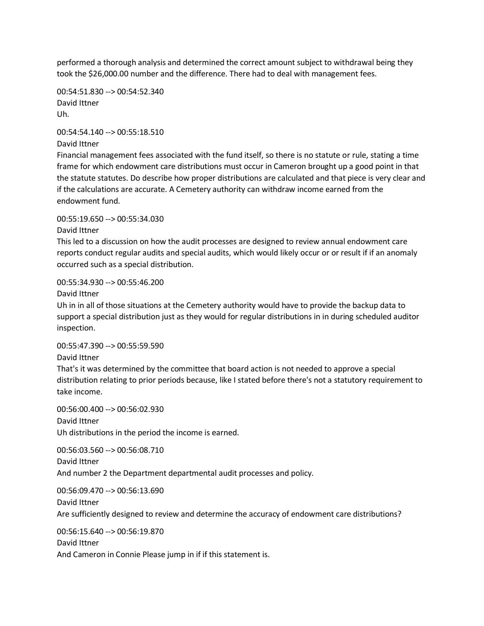performed a thorough analysis and determined the correct amount subject to withdrawal being they took the \$26,000.00 number and the difference. There had to deal with management fees.

00:54:51.830 --> 00:54:52.340 David Ittner Uh.

00:54:54.140 --> 00:55:18.510 David Ittner

Financial management fees associated with the fund itself, so there is no statute or rule, stating a time frame for which endowment care distributions must occur in Cameron brought up a good point in that the statute statutes. Do describe how proper distributions are calculated and that piece is very clear and if the calculations are accurate. A Cemetery authority can withdraw income earned from the endowment fund.

00:55:19.650 --> 00:55:34.030

David Ittner

This led to a discussion on how the audit processes are designed to review annual endowment care reports conduct regular audits and special audits, which would likely occur or or result if if an anomaly occurred such as a special distribution.

00:55:34.930 --> 00:55:46.200

David Ittner

Uh in in all of those situations at the Cemetery authority would have to provide the backup data to support a special distribution just as they would for regular distributions in in during scheduled auditor inspection.

00:55:47.390 --> 00:55:59.590

David Ittner

That's it was determined by the committee that board action is not needed to approve a special distribution relating to prior periods because, like I stated before there's not a statutory requirement to take income.

00:56:00.400 --> 00:56:02.930 David Ittner Uh distributions in the period the income is earned.

00:56:03.560 --> 00:56:08.710 David Ittner And number 2 the Department departmental audit processes and policy.

00:56:09.470 --> 00:56:13.690 David Ittner Are sufficiently designed to review and determine the accuracy of endowment care distributions?

00:56:15.640 --> 00:56:19.870

David Ittner

And Cameron in Connie Please jump in if if this statement is.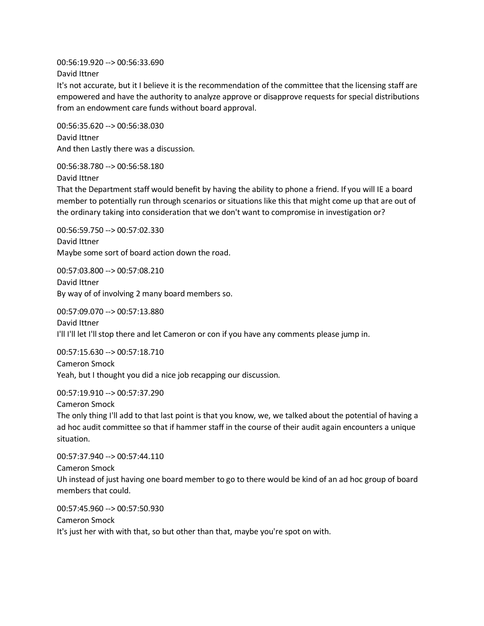00:56:19.920 --> 00:56:33.690 David Ittner

It's not accurate, but it I believe it is the recommendation of the committee that the licensing staff are empowered and have the authority to analyze approve or disapprove requests for special distributions from an endowment care funds without board approval.

00:56:35.620 --> 00:56:38.030 David Ittner And then Lastly there was a discussion.

00:56:38.780 --> 00:56:58.180 David Ittner

That the Department staff would benefit by having the ability to phone a friend. If you will IE a board member to potentially run through scenarios or situations like this that might come up that are out of the ordinary taking into consideration that we don't want to compromise in investigation or?

00:56:59.750 --> 00:57:02.330 David Ittner Maybe some sort of board action down the road.

00:57:03.800 --> 00:57:08.210 David Ittner By way of of involving 2 many board members so.

00:57:09.070 --> 00:57:13.880 David Ittner I'll I'll let I'll stop there and let Cameron or con if you have any comments please jump in.

00:57:15.630 --> 00:57:18.710 Cameron Smock Yeah, but I thought you did a nice job recapping our discussion.

00:57:19.910 --> 00:57:37.290

Cameron Smock The only thing I'll add to that last point is that you know, we, we talked about the potential of having a ad hoc audit committee so that if hammer staff in the course of their audit again encounters a unique situation.

00:57:37.940 --> 00:57:44.110 Cameron Smock Uh instead of just having one board member to go to there would be kind of an ad hoc group of board members that could.

00:57:45.960 --> 00:57:50.930 Cameron Smock It's just her with with that, so but other than that, maybe you're spot on with.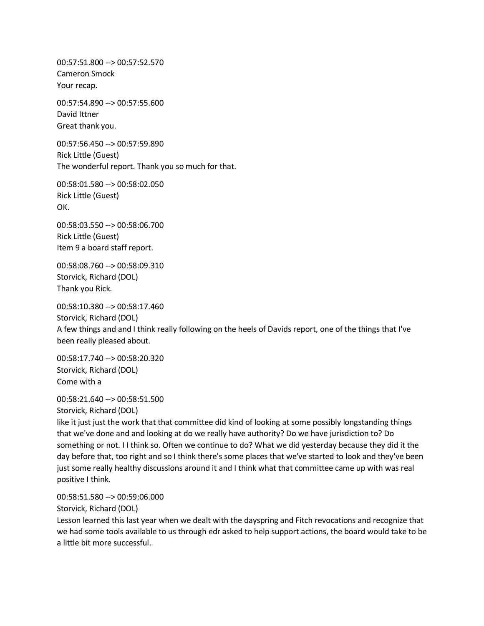00:57:51.800 --> 00:57:52.570 Cameron Smock Your recap.

00:57:54.890 --> 00:57:55.600 David Ittner Great thank you.

00:57:56.450 --> 00:57:59.890 Rick Little (Guest) The wonderful report. Thank you so much for that.

00:58:01.580 --> 00:58:02.050 Rick Little (Guest) OK.

00:58:03.550 --> 00:58:06.700 Rick Little (Guest) Item 9 a board staff report.

00:58:08.760 --> 00:58:09.310 Storvick, Richard (DOL) Thank you Rick.

00:58:10.380 --> 00:58:17.460 Storvick, Richard (DOL) A few things and and I think really following on the heels of Davids report, one of the things that I've been really pleased about.

00:58:17.740 --> 00:58:20.320 Storvick, Richard (DOL) Come with a

00:58:21.640 --> 00:58:51.500 Storvick, Richard (DOL)

like it just just the work that that committee did kind of looking at some possibly longstanding things that we've done and and looking at do we really have authority? Do we have jurisdiction to? Do something or not. I I think so. Often we continue to do? What we did yesterday because they did it the day before that, too right and so I think there's some places that we've started to look and they've been just some really healthy discussions around it and I think what that committee came up with was real positive I think.

00:58:51.580 --> 00:59:06.000

Storvick, Richard (DOL)

Lesson learned this last year when we dealt with the dayspring and Fitch revocations and recognize that we had some tools available to us through edr asked to help support actions, the board would take to be a little bit more successful.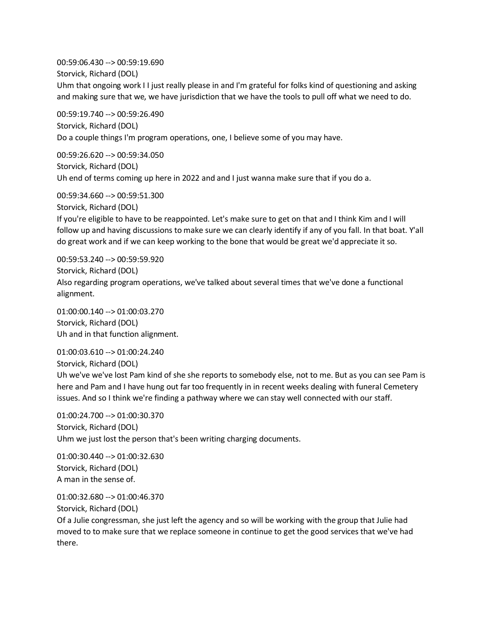00:59:06.430 --> 00:59:19.690 Storvick, Richard (DOL) Uhm that ongoing work I I just really please in and I'm grateful for folks kind of questioning and asking and making sure that we, we have jurisdiction that we have the tools to pull off what we need to do.

00:59:19.740 --> 00:59:26.490 Storvick, Richard (DOL) Do a couple things I'm program operations, one, I believe some of you may have.

00:59:26.620 --> 00:59:34.050 Storvick, Richard (DOL) Uh end of terms coming up here in 2022 and and I just wanna make sure that if you do a.

00:59:34.660 --> 00:59:51.300 Storvick, Richard (DOL) If you're eligible to have to be reappointed. Let's make sure to get on that and I think Kim and I will follow up and having discussions to make sure we can clearly identify if any of you fall. In that boat. Y'all do great work and if we can keep working to the bone that would be great we'd appreciate it so.

00:59:53.240 --> 00:59:59.920 Storvick, Richard (DOL) Also regarding program operations, we've talked about several times that we've done a functional alignment.

01:00:00.140 --> 01:00:03.270 Storvick, Richard (DOL) Uh and in that function alignment.

01:00:03.610 --> 01:00:24.240 Storvick, Richard (DOL) Uh we've we've lost Pam kind of she she reports to somebody else, not to me. But as you can see Pam is here and Pam and I have hung out far too frequently in in recent weeks dealing with funeral Cemetery issues. And so I think we're finding a pathway where we can stay well connected with our staff.

01:00:24.700 --> 01:00:30.370 Storvick, Richard (DOL) Uhm we just lost the person that's been writing charging documents.

01:00:30.440 --> 01:00:32.630 Storvick, Richard (DOL) A man in the sense of.

01:00:32.680 --> 01:00:46.370

Storvick, Richard (DOL)

Of a Julie congressman, she just left the agency and so will be working with the group that Julie had moved to to make sure that we replace someone in continue to get the good services that we've had there.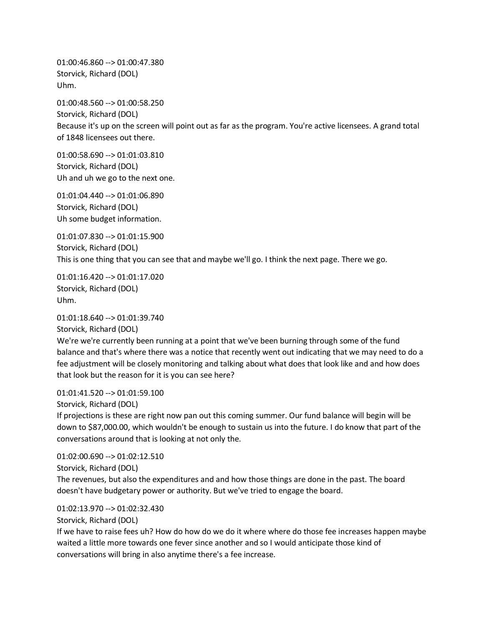01:00:46.860 --> 01:00:47.380 Storvick, Richard (DOL) Uhm.

01:00:48.560 --> 01:00:58.250 Storvick, Richard (DOL) Because it's up on the screen will point out as far as the program. You're active licensees. A grand total of 1848 licensees out there.

01:00:58.690 --> 01:01:03.810 Storvick, Richard (DOL) Uh and uh we go to the next one.

01:01:04.440 --> 01:01:06.890 Storvick, Richard (DOL) Uh some budget information.

01:01:07.830 --> 01:01:15.900 Storvick, Richard (DOL) This is one thing that you can see that and maybe we'll go. I think the next page. There we go.

01:01:16.420 --> 01:01:17.020 Storvick, Richard (DOL) Uhm.

01:01:18.640 --> 01:01:39.740 Storvick, Richard (DOL) We're we're currently been running at a point that we've been burning through some of the fund balance and that's where there was a notice that recently went out indicating that we may need to do a fee adjustment will be closely monitoring and talking about what does that look like and and how does that look but the reason for it is you can see here?

01:01:41.520 --> 01:01:59.100

Storvick, Richard (DOL)

If projections is these are right now pan out this coming summer. Our fund balance will begin will be down to \$87,000.00, which wouldn't be enough to sustain us into the future. I do know that part of the conversations around that is looking at not only the.

01:02:00.690 --> 01:02:12.510 Storvick, Richard (DOL)

The revenues, but also the expenditures and and how those things are done in the past. The board doesn't have budgetary power or authority. But we've tried to engage the board.

01:02:13.970 --> 01:02:32.430

Storvick, Richard (DOL)

If we have to raise fees uh? How do how do we do it where where do those fee increases happen maybe waited a little more towards one fever since another and so I would anticipate those kind of conversations will bring in also anytime there's a fee increase.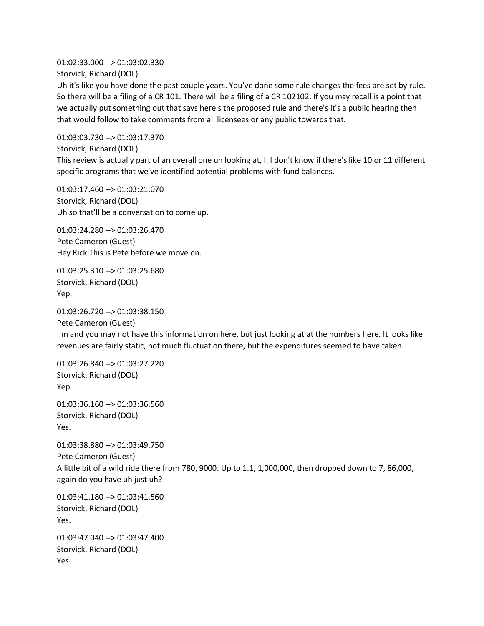01:02:33.000 --> 01:03:02.330 Storvick, Richard (DOL)

Uh it's like you have done the past couple years. You've done some rule changes the fees are set by rule. So there will be a filing of a CR 101. There will be a filing of a CR 102102. If you may recall is a point that we actually put something out that says here's the proposed rule and there's it's a public hearing then that would follow to take comments from all licensees or any public towards that.

01:03:03.730 --> 01:03:17.370 Storvick, Richard (DOL) This review is actually part of an overall one uh looking at, I. I don't know if there's like 10 or 11 different specific programs that we've identified potential problems with fund balances.

01:03:17.460 --> 01:03:21.070 Storvick, Richard (DOL) Uh so that'll be a conversation to come up.

01:03:24.280 --> 01:03:26.470 Pete Cameron (Guest) Hey Rick This is Pete before we move on.

01:03:25.310 --> 01:03:25.680 Storvick, Richard (DOL) Yep.

01:03:26.720 --> 01:03:38.150 Pete Cameron (Guest) I'm and you may not have this information on here, but just looking at at the numbers here. It looks like revenues are fairly static, not much fluctuation there, but the expenditures seemed to have taken.

01:03:26.840 --> 01:03:27.220 Storvick, Richard (DOL) Yep.

01:03:36.160 --> 01:03:36.560 Storvick, Richard (DOL) Yes.

01:03:38.880 --> 01:03:49.750 Pete Cameron (Guest) A little bit of a wild ride there from 780, 9000. Up to 1.1, 1,000,000, then dropped down to 7, 86,000, again do you have uh just uh?

01:03:41.180 --> 01:03:41.560 Storvick, Richard (DOL) Yes.

01:03:47.040 --> 01:03:47.400 Storvick, Richard (DOL) Yes.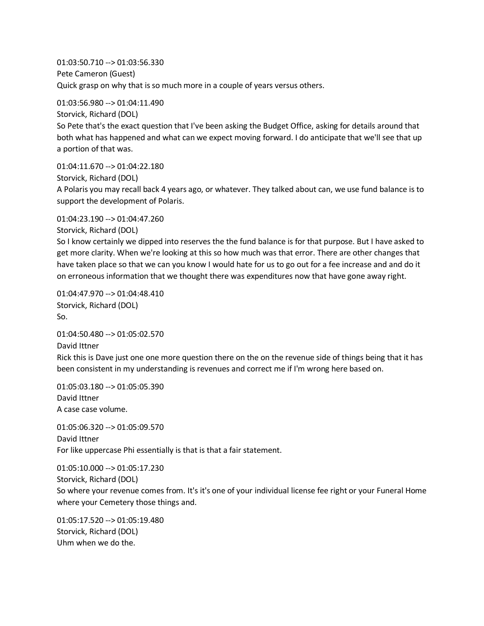01:03:50.710 --> 01:03:56.330 Pete Cameron (Guest) Quick grasp on why that is so much more in a couple of years versus others.

01:03:56.980 --> 01:04:11.490 Storvick, Richard (DOL) So Pete that's the exact question that I've been asking the Budget Office, asking for details around that both what has happened and what can we expect moving forward. I do anticipate that we'll see that up a portion of that was.

01:04:11.670 --> 01:04:22.180 Storvick, Richard (DOL) A Polaris you may recall back 4 years ago, or whatever. They talked about can, we use fund balance is to support the development of Polaris.

Storvick, Richard (DOL) So I know certainly we dipped into reserves the the fund balance is for that purpose. But I have asked to get more clarity. When we're looking at this so how much was that error. There are other changes that have taken place so that we can you know I would hate for us to go out for a fee increase and and do it on erroneous information that we thought there was expenditures now that have gone away right.

01:04:47.970 --> 01:04:48.410 Storvick, Richard (DOL) So.

01:04:23.190 --> 01:04:47.260

01:04:50.480 --> 01:05:02.570 David Ittner Rick this is Dave just one one more question there on the on the revenue side of things being that it has been consistent in my understanding is revenues and correct me if I'm wrong here based on.

01:05:03.180 --> 01:05:05.390 David Ittner A case case volume.

01:05:06.320 --> 01:05:09.570 David Ittner For like uppercase Phi essentially is that is that a fair statement.

01:05:10.000 --> 01:05:17.230 Storvick, Richard (DOL) So where your revenue comes from. It's it's one of your individual license fee right or your Funeral Home where your Cemetery those things and.

01:05:17.520 --> 01:05:19.480 Storvick, Richard (DOL) Uhm when we do the.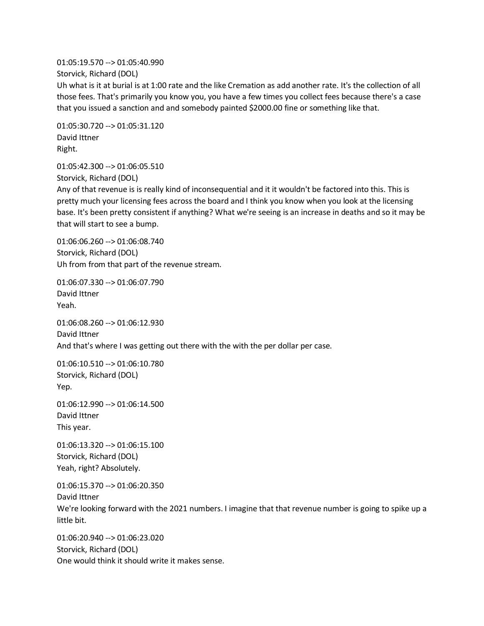01:05:19.570 --> 01:05:40.990 Storvick, Richard (DOL) Uh what is it at burial is at 1:00 rate and the like Cremation as add another rate. It's the collection of all those fees. That's primarily you know you, you have a few times you collect fees because there's a case that you issued a sanction and and somebody painted \$2000.00 fine or something like that.

01:05:30.720 --> 01:05:31.120 David Ittner Right.

01:05:42.300 --> 01:06:05.510 Storvick, Richard (DOL)

Any of that revenue is is really kind of inconsequential and it it wouldn't be factored into this. This is pretty much your licensing fees across the board and I think you know when you look at the licensing base. It's been pretty consistent if anything? What we're seeing is an increase in deaths and so it may be that will start to see a bump.

01:06:06.260 --> 01:06:08.740 Storvick, Richard (DOL) Uh from from that part of the revenue stream.

01:06:07.330 --> 01:06:07.790 David Ittner Yeah.

01:06:08.260 --> 01:06:12.930 David Ittner And that's where I was getting out there with the with the per dollar per case.

01:06:10.510 --> 01:06:10.780 Storvick, Richard (DOL) Yep.

01:06:12.990 --> 01:06:14.500 David Ittner This year.

01:06:13.320 --> 01:06:15.100 Storvick, Richard (DOL) Yeah, right? Absolutely.

01:06:15.370 --> 01:06:20.350 David Ittner We're looking forward with the 2021 numbers. I imagine that that revenue number is going to spike up a little bit.

01:06:20.940 --> 01:06:23.020 Storvick, Richard (DOL) One would think it should write it makes sense.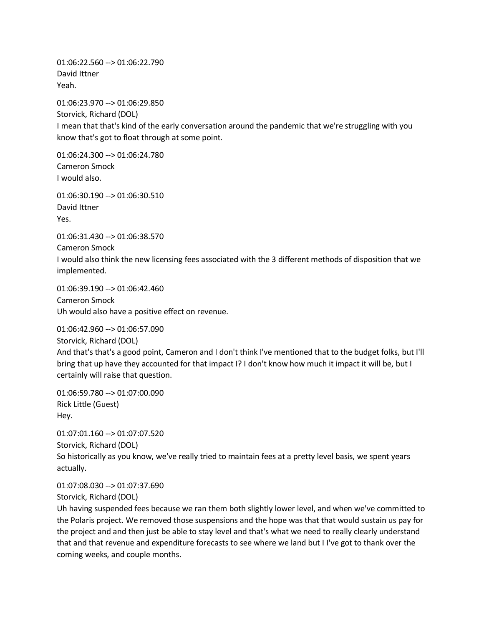01:06:22.560 --> 01:06:22.790 David Ittner Yeah.

01:06:23.970 --> 01:06:29.850 Storvick, Richard (DOL) I mean that that's kind of the early conversation around the pandemic that we're struggling with you know that's got to float through at some point.

01:06:24.300 --> 01:06:24.780 Cameron Smock I would also.

01:06:30.190 --> 01:06:30.510 David Ittner Yes.

01:06:31.430 --> 01:06:38.570 Cameron Smock I would also think the new licensing fees associated with the 3 different methods of disposition that we implemented.

01:06:39.190 --> 01:06:42.460 Cameron Smock Uh would also have a positive effect on revenue.

01:06:42.960 --> 01:06:57.090

Storvick, Richard (DOL) And that's that's a good point, Cameron and I don't think I've mentioned that to the budget folks, but I'll bring that up have they accounted for that impact I? I don't know how much it impact it will be, but I certainly will raise that question.

01:06:59.780 --> 01:07:00.090 Rick Little (Guest) Hey.

01:07:01.160 --> 01:07:07.520 Storvick, Richard (DOL) So historically as you know, we've really tried to maintain fees at a pretty level basis, we spent years actually.

01:07:08.030 --> 01:07:37.690 Storvick, Richard (DOL)

Uh having suspended fees because we ran them both slightly lower level, and when we've committed to the Polaris project. We removed those suspensions and the hope was that that would sustain us pay for the project and and then just be able to stay level and that's what we need to really clearly understand that and that revenue and expenditure forecasts to see where we land but I I've got to thank over the coming weeks, and couple months.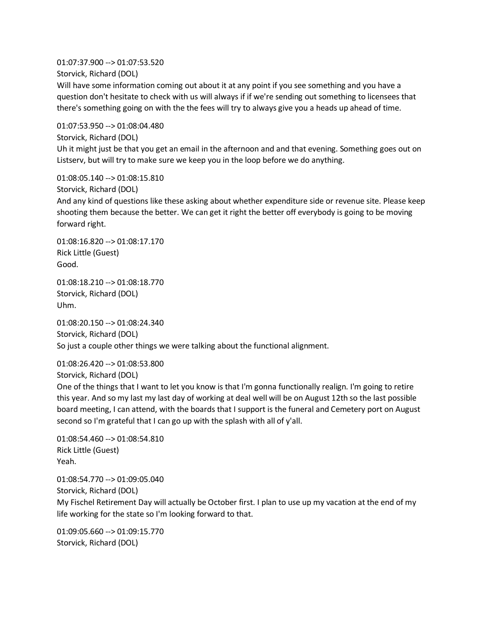01:07:37.900 --> 01:07:53.520 Storvick, Richard (DOL) Will have some information coming out about it at any point if you see something and you have a question don't hesitate to check with us will always if if we're sending out something to licensees that there's something going on with the the fees will try to always give you a heads up ahead of time.

01:07:53.950 --> 01:08:04.480 Storvick, Richard (DOL) Uh it might just be that you get an email in the afternoon and and that evening. Something goes out on Listserv, but will try to make sure we keep you in the loop before we do anything.

01:08:05.140 --> 01:08:15.810 Storvick, Richard (DOL) And any kind of questions like these asking about whether expenditure side or revenue site. Please keep shooting them because the better. We can get it right the better off everybody is going to be moving forward right.

01:08:16.820 --> 01:08:17.170 Rick Little (Guest) Good.

01:08:18.210 --> 01:08:18.770 Storvick, Richard (DOL) Uhm.

01:08:20.150 --> 01:08:24.340 Storvick, Richard (DOL) So just a couple other things we were talking about the functional alignment.

01:08:26.420 --> 01:08:53.800 Storvick, Richard (DOL)

One of the things that I want to let you know is that I'm gonna functionally realign. I'm going to retire this year. And so my last my last day of working at deal well will be on August 12th so the last possible board meeting, I can attend, with the boards that I support is the funeral and Cemetery port on August second so I'm grateful that I can go up with the splash with all of y'all.

01:08:54.460 --> 01:08:54.810 Rick Little (Guest) Yeah.

01:08:54.770 --> 01:09:05.040 Storvick, Richard (DOL) My Fischel Retirement Day will actually be October first. I plan to use up my vacation at the end of my life working for the state so I'm looking forward to that.

01:09:05.660 --> 01:09:15.770 Storvick, Richard (DOL)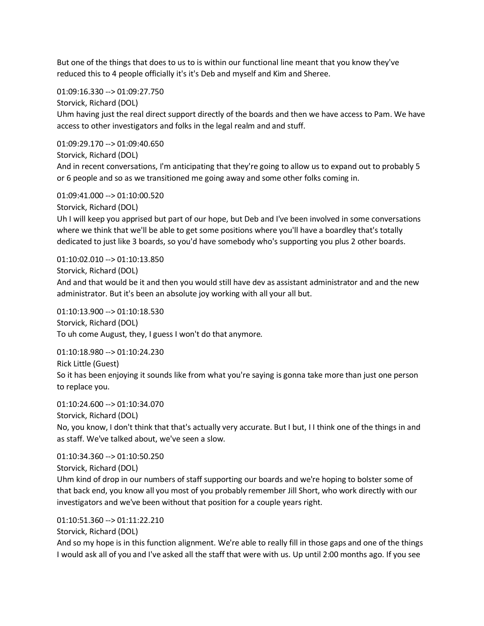But one of the things that does to us to is within our functional line meant that you know they've reduced this to 4 people officially it's it's Deb and myself and Kim and Sheree.

01:09:16.330 --> 01:09:27.750

Storvick, Richard (DOL)

Uhm having just the real direct support directly of the boards and then we have access to Pam. We have access to other investigators and folks in the legal realm and and stuff.

01:09:29.170 --> 01:09:40.650 Storvick, Richard (DOL) And in recent conversations, I'm anticipating that they're going to allow us to expand out to probably 5

01:09:41.000 --> 01:10:00.520

Storvick, Richard (DOL)

Uh I will keep you apprised but part of our hope, but Deb and I've been involved in some conversations where we think that we'll be able to get some positions where you'll have a boardley that's totally dedicated to just like 3 boards, so you'd have somebody who's supporting you plus 2 other boards.

or 6 people and so as we transitioned me going away and some other folks coming in.

01:10:02.010 --> 01:10:13.850 Storvick, Richard (DOL) And and that would be it and then you would still have dev as assistant administrator and and the new administrator. But it's been an absolute joy working with all your all but.

01:10:13.900 --> 01:10:18.530 Storvick, Richard (DOL) To uh come August, they, I guess I won't do that anymore.

01:10:18.980 --> 01:10:24.230 Rick Little (Guest) So it has been enjoying it sounds like from what you're saying is gonna take more than just one person to replace you.

01:10:24.600 --> 01:10:34.070 Storvick, Richard (DOL) No, you know, I don't think that that's actually very accurate. But I but, I I think one of the things in and as staff. We've talked about, we've seen a slow.

01:10:34.360 --> 01:10:50.250 Storvick, Richard (DOL) Uhm kind of drop in our numbers of staff supporting our boards and we're hoping to bolster some of that back end, you know all you most of you probably remember Jill Short, who work directly with our investigators and we've been without that position for a couple years right.

01:10:51.360 --> 01:11:22.210

Storvick, Richard (DOL)

And so my hope is in this function alignment. We're able to really fill in those gaps and one of the things I would ask all of you and I've asked all the staff that were with us. Up until 2:00 months ago. If you see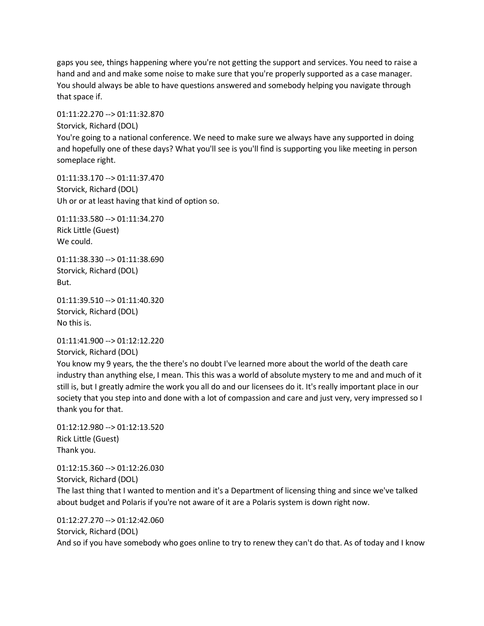gaps you see, things happening where you're not getting the support and services. You need to raise a hand and and and make some noise to make sure that you're properly supported as a case manager. You should always be able to have questions answered and somebody helping you navigate through that space if.

01:11:22.270 --> 01:11:32.870 Storvick, Richard (DOL) You're going to a national conference. We need to make sure we always have any supported in doing and hopefully one of these days? What you'll see is you'll find is supporting you like meeting in person someplace right.

01:11:33.170 --> 01:11:37.470 Storvick, Richard (DOL) Uh or or at least having that kind of option so.

01:11:33.580 --> 01:11:34.270 Rick Little (Guest) We could.

01:11:38.330 --> 01:11:38.690 Storvick, Richard (DOL) But.

01:11:39.510 --> 01:11:40.320 Storvick, Richard (DOL) No this is.

01:11:41.900 --> 01:12:12.220

Storvick, Richard (DOL)

You know my 9 years, the the there's no doubt I've learned more about the world of the death care industry than anything else, I mean. This this was a world of absolute mystery to me and and much of it still is, but I greatly admire the work you all do and our licensees do it. It's really important place in our society that you step into and done with a lot of compassion and care and just very, very impressed so I thank you for that.

01:12:12.980 --> 01:12:13.520 Rick Little (Guest) Thank you.

01:12:15.360 --> 01:12:26.030 Storvick, Richard (DOL) The last thing that I wanted to mention and it's a Department of licensing thing and since we've talked about budget and Polaris if you're not aware of it are a Polaris system is down right now.

01:12:27.270 --> 01:12:42.060 Storvick, Richard (DOL) And so if you have somebody who goes online to try to renew they can't do that. As of today and I know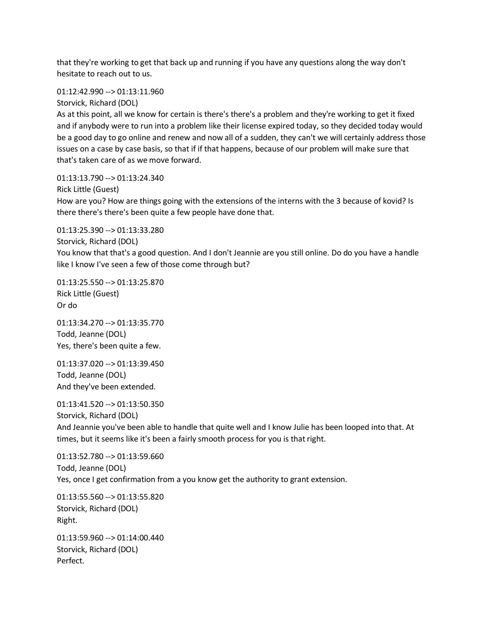that they're working to get that back up and running if you have any questions along the way don't hesitate to reach out to us.

01:12:42.990 --> 01:13:11.960

Storvick, Richard (DOL)

As at this point, all we know for certain is there's there's a problem and they're working to get it fixed and if anybody were to run into a problem like their license expired today, so they decided today would be a good day to go online and renew and now all of a sudden, they can't we will certainly address those issues on a case by case basis, so that if if that happens, because of our problem will make sure that that's taken care of as we move forward.

Rick Little (Guest) How are you? How are things going with the extensions of the interns with the 3 because of kovid? Is there there's there's been quite a few people have done that.

01:13:25.390 --> 01:13:33.280

01:13:13.790 --> 01:13:24.340

Storvick, Richard (DOL)

You know that that's a good question. And I don't Jeannie are you still online. Do do you have a handle like I know I've seen a few of those come through but?

01:13:25.550 --> 01:13:25.870 Rick Little (Guest) Or do

01:13:34.270 --> 01:13:35.770 Todd, Jeanne (DOL) Yes, there's been quite a few.

01:13:37.020 --> 01:13:39.450 Todd, Jeanne (DOL) And they've been extended.

01:13:41.520 --> 01:13:50.350 Storvick, Richard (DOL) And Jeannie you've been able to handle that quite well and I know Julie has been looped into that. At times, but it seems like it's been a fairly smooth process for you is that right.

01:13:52.780 --> 01:13:59.660 Todd, Jeanne (DOL) Yes, once I get confirmation from a you know get the authority to grant extension.

01:13:55.560 --> 01:13:55.820 Storvick, Richard (DOL) Right.

01:13:59.960 --> 01:14:00.440 Storvick, Richard (DOL) Perfect.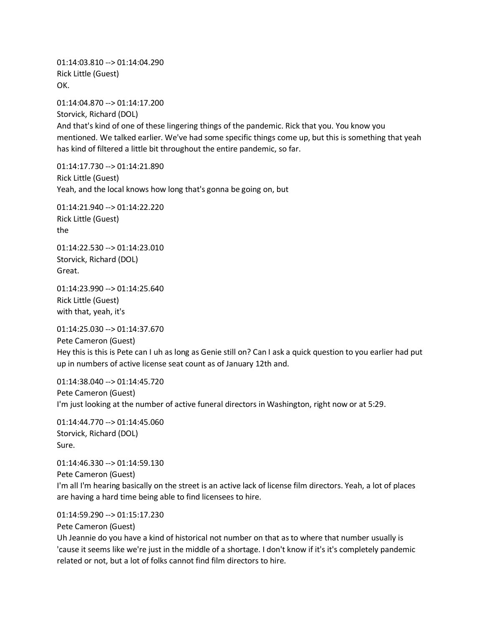01:14:03.810 --> 01:14:04.290 Rick Little (Guest) OK.

01:14:04.870 --> 01:14:17.200 Storvick, Richard (DOL) And that's kind of one of these lingering things of the pandemic. Rick that you. You know you mentioned. We talked earlier. We've had some specific things come up, but this is something that yeah has kind of filtered a little bit throughout the entire pandemic, so far.

01:14:17.730 --> 01:14:21.890 Rick Little (Guest) Yeah, and the local knows how long that's gonna be going on, but

01:14:21.940 --> 01:14:22.220 Rick Little (Guest) the

01:14:22.530 --> 01:14:23.010 Storvick, Richard (DOL) Great.

01:14:23.990 --> 01:14:25.640 Rick Little (Guest) with that, yeah, it's

01:14:25.030 --> 01:14:37.670

Pete Cameron (Guest) Hey this is this is Pete can I uh as long as Genie still on? Can I ask a quick question to you earlier had put up in numbers of active license seat count as of January 12th and.

01:14:38.040 --> 01:14:45.720 Pete Cameron (Guest) I'm just looking at the number of active funeral directors in Washington, right now or at 5:29.

01:14:44.770 --> 01:14:45.060 Storvick, Richard (DOL) Sure.

01:14:46.330 --> 01:14:59.130 Pete Cameron (Guest) I'm all I'm hearing basically on the street is an active lack of license film directors. Yeah, a lot of places are having a hard time being able to find licensees to hire.

01:14:59.290 --> 01:15:17.230

Pete Cameron (Guest)

Uh Jeannie do you have a kind of historical not number on that as to where that number usually is 'cause it seems like we're just in the middle of a shortage. I don't know if it's it's completely pandemic related or not, but a lot of folks cannot find film directors to hire.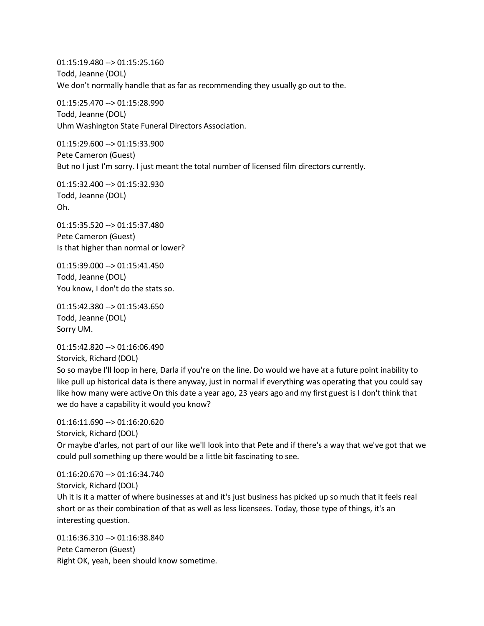01:15:19.480 --> 01:15:25.160 Todd, Jeanne (DOL) We don't normally handle that as far as recommending they usually go out to the.

01:15:25.470 --> 01:15:28.990 Todd, Jeanne (DOL) Uhm Washington State Funeral Directors Association.

01:15:29.600 --> 01:15:33.900 Pete Cameron (Guest) But no I just I'm sorry. I just meant the total number of licensed film directors currently.

01:15:32.400 --> 01:15:32.930 Todd, Jeanne (DOL) Oh.

01:15:35.520 --> 01:15:37.480 Pete Cameron (Guest) Is that higher than normal or lower?

01:15:39.000 --> 01:15:41.450 Todd, Jeanne (DOL) You know, I don't do the stats so.

01:15:42.380 --> 01:15:43.650 Todd, Jeanne (DOL) Sorry UM.

01:15:42.820 --> 01:16:06.490 Storvick, Richard (DOL)

So so maybe I'll loop in here, Darla if you're on the line. Do would we have at a future point inability to like pull up historical data is there anyway, just in normal if everything was operating that you could say like how many were active On this date a year ago, 23 years ago and my first guest is I don't think that we do have a capability it would you know?

```
01:16:11.690 --> 01:16:20.620
Storvick, Richard (DOL)
Or maybe d'arles, not part of our like we'll look into that Pete and if there's a way that we've got that we 
could pull something up there would be a little bit fascinating to see.
```
01:16:20.670 --> 01:16:34.740 Storvick, Richard (DOL) Uh it is it a matter of where businesses at and it's just business has picked up so much that it feels real short or as their combination of that as well as less licensees. Today, those type of things, it's an interesting question.

01:16:36.310 --> 01:16:38.840 Pete Cameron (Guest) Right OK, yeah, been should know sometime.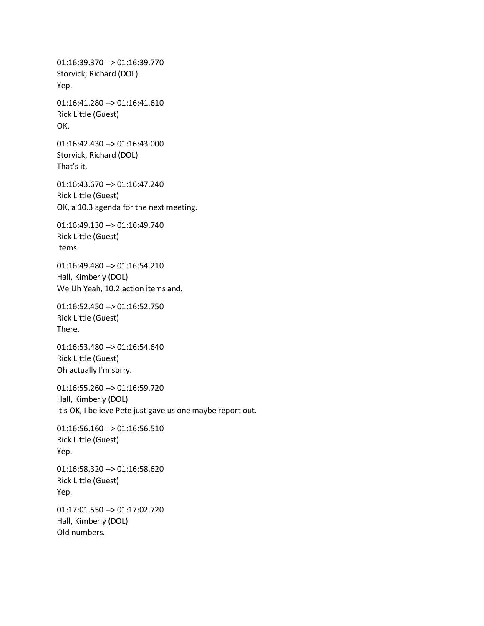01:16:39.370 --> 01:16:39.770 Storvick, Richard (DOL) Yep. 01:16:41.280 --> 01:16:41.610 Rick Little (Guest) OK. 01:16:42.430 --> 01:16:43.000 Storvick, Richard (DOL) That's it. 01:16:43.670 --> 01:16:47.240 Rick Little (Guest) OK, a 10.3 agenda for the next meeting. 01:16:49.130 --> 01:16:49.740 Rick Little (Guest) Items. 01:16:49.480 --> 01:16:54.210 Hall, Kimberly (DOL) We Uh Yeah, 10.2 action items and. 01:16:52.450 --> 01:16:52.750 Rick Little (Guest) There. 01:16:53.480 --> 01:16:54.640 Rick Little (Guest) Oh actually I'm sorry. 01:16:55.260 --> 01:16:59.720 Hall, Kimberly (DOL) It's OK, I believe Pete just gave us one maybe report out. 01:16:56.160 --> 01:16:56.510 Rick Little (Guest) Yep. 01:16:58.320 --> 01:16:58.620 Rick Little (Guest) Yep. 01:17:01.550 --> 01:17:02.720 Hall, Kimberly (DOL) Old numbers.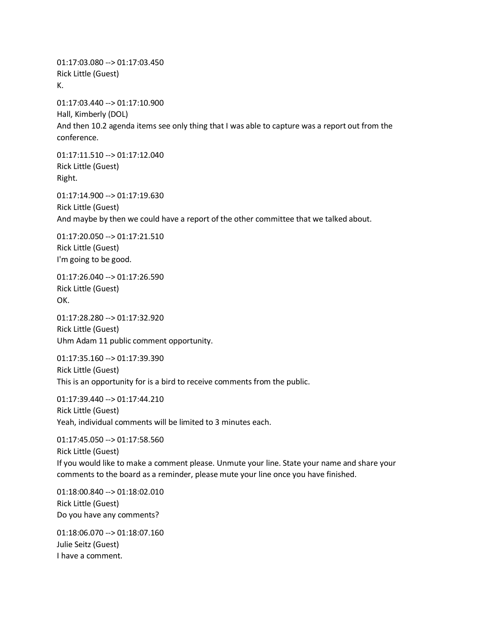01:17:03.080 --> 01:17:03.450 Rick Little (Guest) K.

01:17:03.440 --> 01:17:10.900 Hall, Kimberly (DOL) And then 10.2 agenda items see only thing that I was able to capture was a report out from the conference.

01:17:11.510 --> 01:17:12.040 Rick Little (Guest) Right.

01:17:14.900 --> 01:17:19.630 Rick Little (Guest) And maybe by then we could have a report of the other committee that we talked about.

01:17:20.050 --> 01:17:21.510 Rick Little (Guest) I'm going to be good.

01:17:26.040 --> 01:17:26.590 Rick Little (Guest) OK.

01:17:28.280 --> 01:17:32.920 Rick Little (Guest) Uhm Adam 11 public comment opportunity.

01:17:35.160 --> 01:17:39.390 Rick Little (Guest) This is an opportunity for is a bird to receive comments from the public.

01:17:39.440 --> 01:17:44.210 Rick Little (Guest) Yeah, individual comments will be limited to 3 minutes each.

01:17:45.050 --> 01:17:58.560 Rick Little (Guest) If you would like to make a comment please. Unmute your line. State your name and share your comments to the board as a reminder, please mute your line once you have finished.

01:18:00.840 --> 01:18:02.010 Rick Little (Guest) Do you have any comments?

01:18:06.070 --> 01:18:07.160 Julie Seitz (Guest) I have a comment.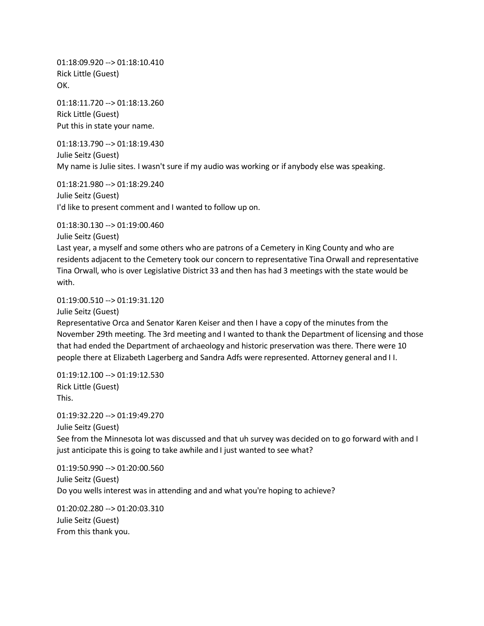01:18:09.920 --> 01:18:10.410 Rick Little (Guest) OK.

01:18:11.720 --> 01:18:13.260 Rick Little (Guest) Put this in state your name.

01:18:13.790 --> 01:18:19.430 Julie Seitz (Guest) My name is Julie sites. I wasn't sure if my audio was working or if anybody else was speaking.

01:18:21.980 --> 01:18:29.240 Julie Seitz (Guest) I'd like to present comment and I wanted to follow up on.

01:18:30.130 --> 01:19:00.460

Julie Seitz (Guest)

Last year, a myself and some others who are patrons of a Cemetery in King County and who are residents adjacent to the Cemetery took our concern to representative Tina Orwall and representative Tina Orwall, who is over Legislative District 33 and then has had 3 meetings with the state would be with.

### 01:19:00.510 --> 01:19:31.120

Julie Seitz (Guest)

Representative Orca and Senator Karen Keiser and then I have a copy of the minutes from the November 29th meeting. The 3rd meeting and I wanted to thank the Department of licensing and those that had ended the Department of archaeology and historic preservation was there. There were 10 people there at Elizabeth Lagerberg and Sandra Adfs were represented. Attorney general and I I.

01:19:12.100 --> 01:19:12.530 Rick Little (Guest) This.

01:19:32.220 --> 01:19:49.270 Julie Seitz (Guest)

See from the Minnesota lot was discussed and that uh survey was decided on to go forward with and I just anticipate this is going to take awhile and I just wanted to see what?

01:19:50.990 --> 01:20:00.560 Julie Seitz (Guest) Do you wells interest was in attending and and what you're hoping to achieve?

01:20:02.280 --> 01:20:03.310 Julie Seitz (Guest) From this thank you.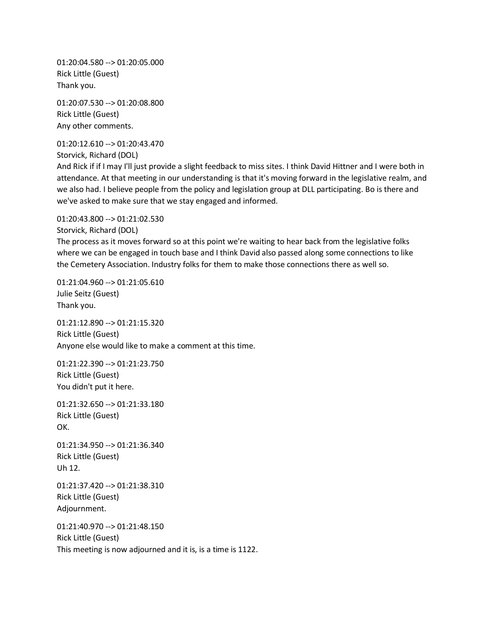01:20:04.580 --> 01:20:05.000 Rick Little (Guest) Thank you.

01:20:07.530 --> 01:20:08.800 Rick Little (Guest) Any other comments.

01:20:12.610 --> 01:20:43.470

Storvick, Richard (DOL)

And Rick if if I may I'll just provide a slight feedback to miss sites. I think David Hittner and I were both in attendance. At that meeting in our understanding is that it's moving forward in the legislative realm, and we also had. I believe people from the policy and legislation group at DLL participating. Bo is there and we've asked to make sure that we stay engaged and informed.

01:20:43.800 --> 01:21:02.530

Storvick, Richard (DOL)

The process as it moves forward so at this point we're waiting to hear back from the legislative folks where we can be engaged in touch base and I think David also passed along some connections to like the Cemetery Association. Industry folks for them to make those connections there as well so.

01:21:04.960 --> 01:21:05.610 Julie Seitz (Guest) Thank you.

01:21:12.890 --> 01:21:15.320 Rick Little (Guest) Anyone else would like to make a comment at this time.

01:21:22.390 --> 01:21:23.750 Rick Little (Guest) You didn't put it here.

01:21:32.650 --> 01:21:33.180 Rick Little (Guest) OK.

01:21:34.950 --> 01:21:36.340 Rick Little (Guest) Uh 12.

01:21:37.420 --> 01:21:38.310 Rick Little (Guest) Adjournment.

01:21:40.970 --> 01:21:48.150 Rick Little (Guest) This meeting is now adjourned and it is, is a time is 1122.